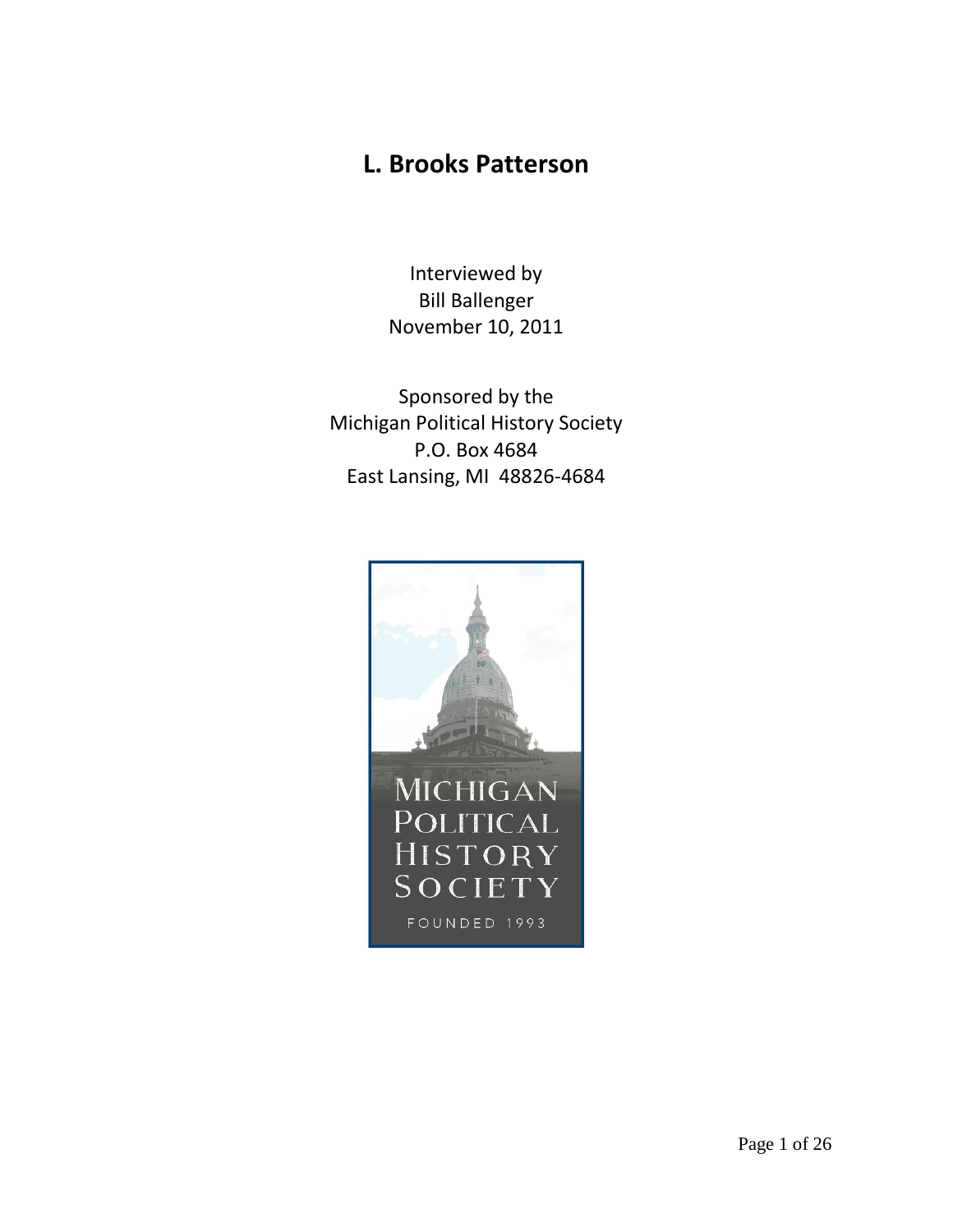## **L. Brooks Patterson**

Interviewed by Bill Ballenger November 10, 2011

Sponsored by the Michigan Political History Society P.O. Box 4684 East Lansing, MI 48826-4684

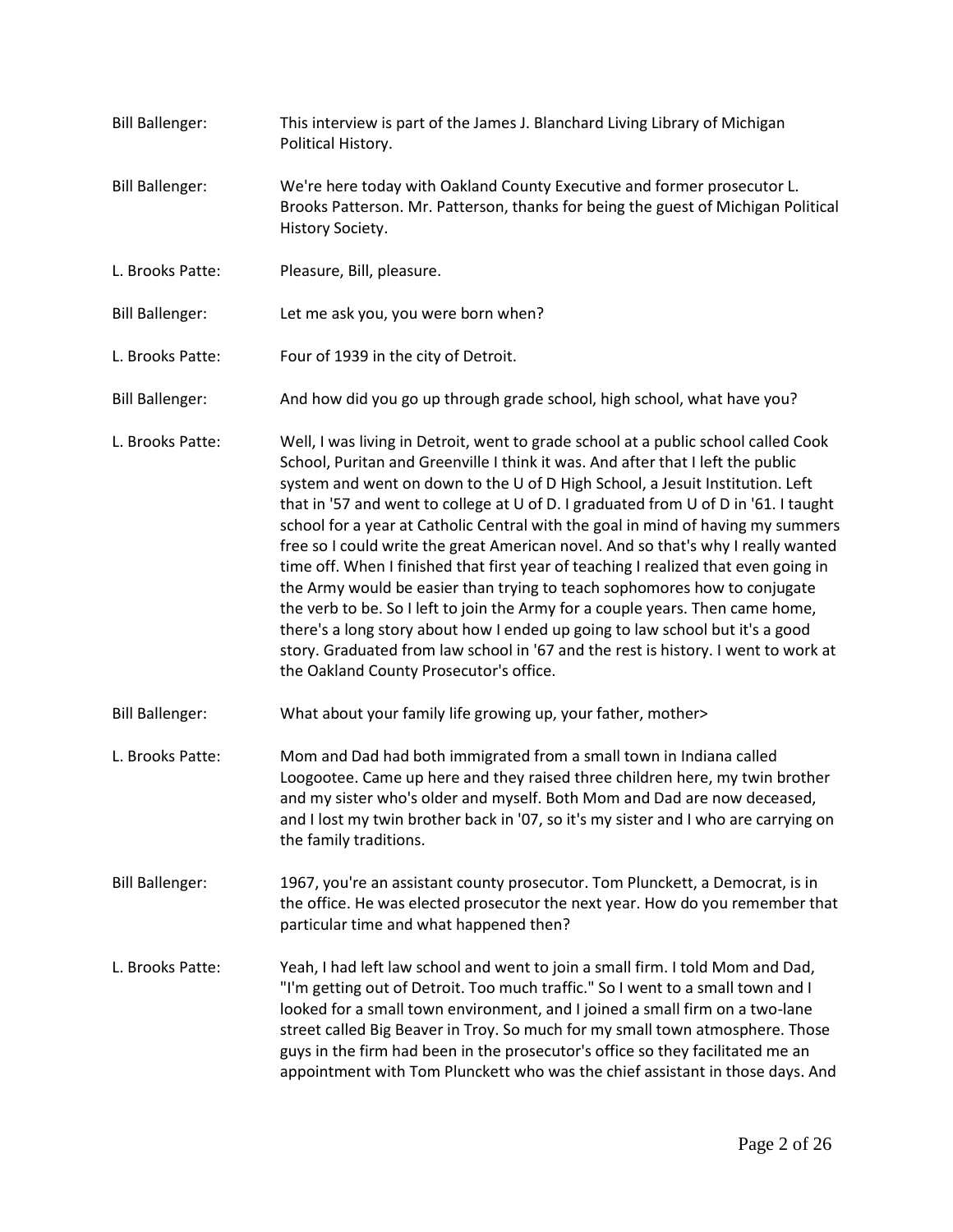| <b>Bill Ballenger:</b> | This interview is part of the James J. Blanchard Living Library of Michigan<br>Political History.                                                                                                                                                                                                                                                                                                                                                                                                                                                                                                                                                                                                                                                                                                                                                                                                                                                                                              |  |
|------------------------|------------------------------------------------------------------------------------------------------------------------------------------------------------------------------------------------------------------------------------------------------------------------------------------------------------------------------------------------------------------------------------------------------------------------------------------------------------------------------------------------------------------------------------------------------------------------------------------------------------------------------------------------------------------------------------------------------------------------------------------------------------------------------------------------------------------------------------------------------------------------------------------------------------------------------------------------------------------------------------------------|--|
| <b>Bill Ballenger:</b> | We're here today with Oakland County Executive and former prosecutor L.<br>Brooks Patterson. Mr. Patterson, thanks for being the guest of Michigan Political<br>History Society.                                                                                                                                                                                                                                                                                                                                                                                                                                                                                                                                                                                                                                                                                                                                                                                                               |  |
| L. Brooks Patte:       | Pleasure, Bill, pleasure.                                                                                                                                                                                                                                                                                                                                                                                                                                                                                                                                                                                                                                                                                                                                                                                                                                                                                                                                                                      |  |
| <b>Bill Ballenger:</b> | Let me ask you, you were born when?                                                                                                                                                                                                                                                                                                                                                                                                                                                                                                                                                                                                                                                                                                                                                                                                                                                                                                                                                            |  |
| L. Brooks Patte:       | Four of 1939 in the city of Detroit.                                                                                                                                                                                                                                                                                                                                                                                                                                                                                                                                                                                                                                                                                                                                                                                                                                                                                                                                                           |  |
| <b>Bill Ballenger:</b> | And how did you go up through grade school, high school, what have you?                                                                                                                                                                                                                                                                                                                                                                                                                                                                                                                                                                                                                                                                                                                                                                                                                                                                                                                        |  |
| L. Brooks Patte:       | Well, I was living in Detroit, went to grade school at a public school called Cook<br>School, Puritan and Greenville I think it was. And after that I left the public<br>system and went on down to the U of D High School, a Jesuit Institution. Left<br>that in '57 and went to college at U of D. I graduated from U of D in '61. I taught<br>school for a year at Catholic Central with the goal in mind of having my summers<br>free so I could write the great American novel. And so that's why I really wanted<br>time off. When I finished that first year of teaching I realized that even going in<br>the Army would be easier than trying to teach sophomores how to conjugate<br>the verb to be. So I left to join the Army for a couple years. Then came home,<br>there's a long story about how I ended up going to law school but it's a good<br>story. Graduated from law school in '67 and the rest is history. I went to work at<br>the Oakland County Prosecutor's office. |  |
| <b>Bill Ballenger:</b> | What about your family life growing up, your father, mother>                                                                                                                                                                                                                                                                                                                                                                                                                                                                                                                                                                                                                                                                                                                                                                                                                                                                                                                                   |  |
| L. Brooks Patte:       | Mom and Dad had both immigrated from a small town in Indiana called<br>Loogootee. Came up here and they raised three children here, my twin brother<br>and my sister who's older and myself. Both Mom and Dad are now deceased,<br>and I lost my twin brother back in '07, so it's my sister and I who are carrying on<br>the family traditions.                                                                                                                                                                                                                                                                                                                                                                                                                                                                                                                                                                                                                                               |  |
| <b>Bill Ballenger:</b> | 1967, you're an assistant county prosecutor. Tom Plunckett, a Democrat, is in<br>the office. He was elected prosecutor the next year. How do you remember that<br>particular time and what happened then?                                                                                                                                                                                                                                                                                                                                                                                                                                                                                                                                                                                                                                                                                                                                                                                      |  |
| L. Brooks Patte:       | Yeah, I had left law school and went to join a small firm. I told Mom and Dad,<br>"I'm getting out of Detroit. Too much traffic." So I went to a small town and I<br>looked for a small town environment, and I joined a small firm on a two-lane<br>street called Big Beaver in Troy. So much for my small town atmosphere. Those<br>guys in the firm had been in the prosecutor's office so they facilitated me an<br>appointment with Tom Plunckett who was the chief assistant in those days. And                                                                                                                                                                                                                                                                                                                                                                                                                                                                                          |  |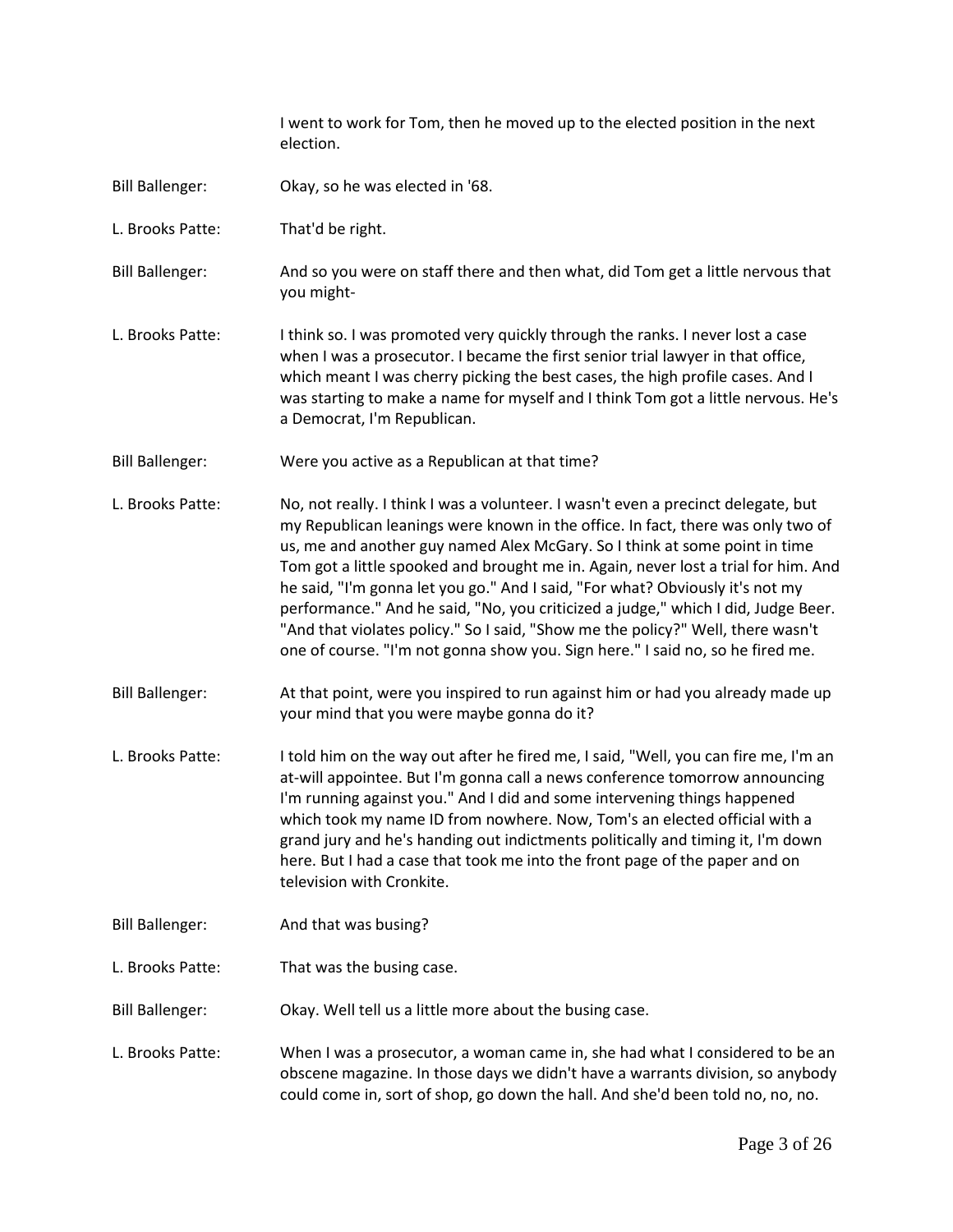I went to work for Tom, then he moved up to the elected position in the next election.

- Bill Ballenger: Okay, so he was elected in '68.
- L. Brooks Patte: That'd be right.

Bill Ballenger: And so you were on staff there and then what, did Tom get a little nervous that you might-

- L. Brooks Patte: I think so. I was promoted very quickly through the ranks. I never lost a case when I was a prosecutor. I became the first senior trial lawyer in that office, which meant I was cherry picking the best cases, the high profile cases. And I was starting to make a name for myself and I think Tom got a little nervous. He's a Democrat, I'm Republican.
- Bill Ballenger: Were you active as a Republican at that time?
- L. Brooks Patte: No, not really. I think I was a volunteer. I wasn't even a precinct delegate, but my Republican leanings were known in the office. In fact, there was only two of us, me and another guy named Alex McGary. So I think at some point in time Tom got a little spooked and brought me in. Again, never lost a trial for him. And he said, "I'm gonna let you go." And I said, "For what? Obviously it's not my performance." And he said, "No, you criticized a judge," which I did, Judge Beer. "And that violates policy." So I said, "Show me the policy?" Well, there wasn't one of course. "I'm not gonna show you. Sign here." I said no, so he fired me.
- Bill Ballenger: At that point, were you inspired to run against him or had you already made up your mind that you were maybe gonna do it?
- L. Brooks Patte: I told him on the way out after he fired me, I said, "Well, you can fire me, I'm an at-will appointee. But I'm gonna call a news conference tomorrow announcing I'm running against you." And I did and some intervening things happened which took my name ID from nowhere. Now, Tom's an elected official with a grand jury and he's handing out indictments politically and timing it, I'm down here. But I had a case that took me into the front page of the paper and on television with Cronkite.
- Bill Ballenger: And that was busing?
- L. Brooks Patte: That was the busing case.

Bill Ballenger: Okay. Well tell us a little more about the busing case.

L. Brooks Patte: When I was a prosecutor, a woman came in, she had what I considered to be an obscene magazine. In those days we didn't have a warrants division, so anybody could come in, sort of shop, go down the hall. And she'd been told no, no, no.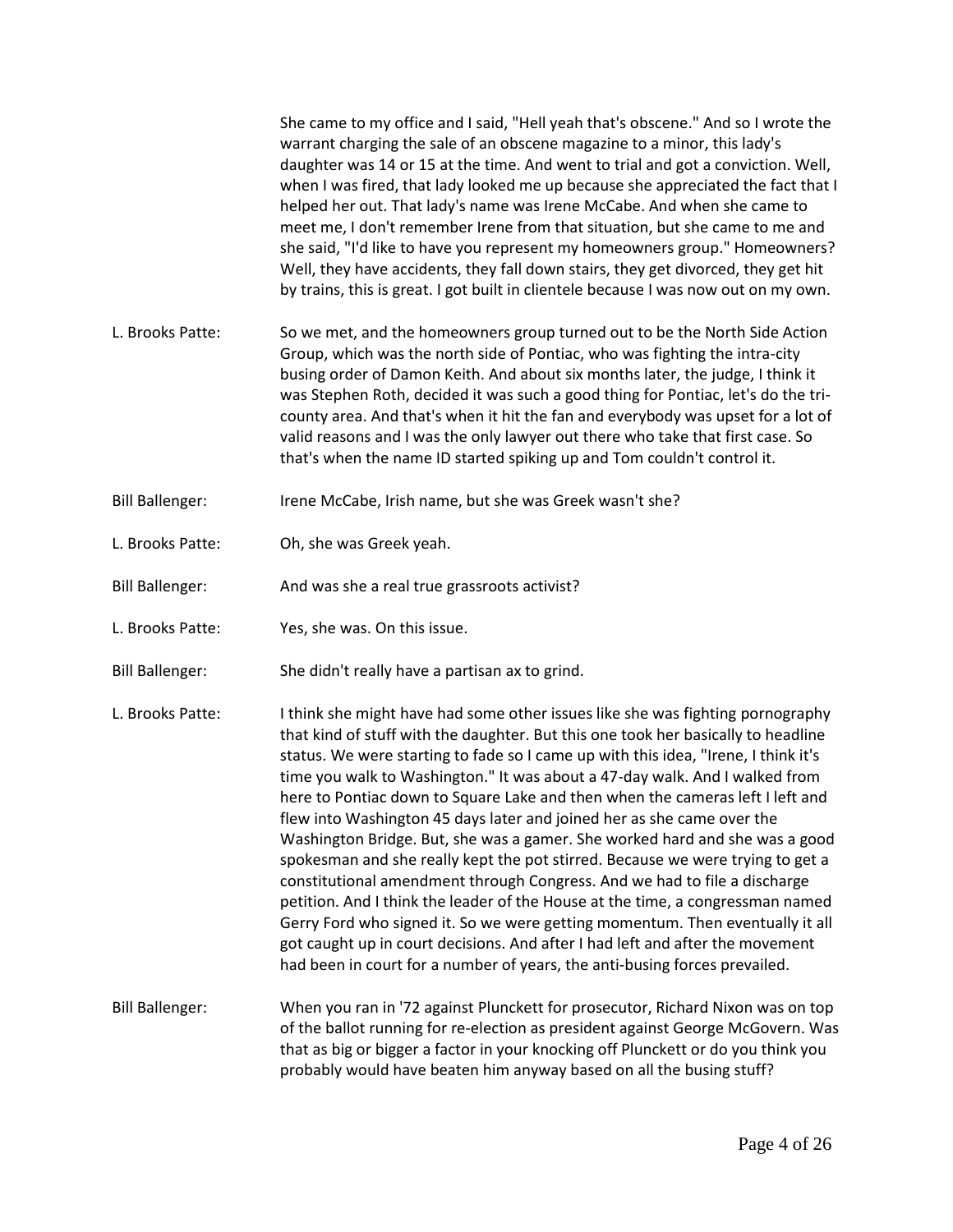|                        | She came to my office and I said, "Hell yeah that's obscene." And so I wrote the<br>warrant charging the sale of an obscene magazine to a minor, this lady's<br>daughter was 14 or 15 at the time. And went to trial and got a conviction. Well,<br>when I was fired, that lady looked me up because she appreciated the fact that I<br>helped her out. That lady's name was Irene McCabe. And when she came to<br>meet me, I don't remember Irene from that situation, but she came to me and<br>she said, "I'd like to have you represent my homeowners group." Homeowners?<br>Well, they have accidents, they fall down stairs, they get divorced, they get hit<br>by trains, this is great. I got built in clientele because I was now out on my own.                                                                                                                                                                                                                                                                                                                           |
|------------------------|-------------------------------------------------------------------------------------------------------------------------------------------------------------------------------------------------------------------------------------------------------------------------------------------------------------------------------------------------------------------------------------------------------------------------------------------------------------------------------------------------------------------------------------------------------------------------------------------------------------------------------------------------------------------------------------------------------------------------------------------------------------------------------------------------------------------------------------------------------------------------------------------------------------------------------------------------------------------------------------------------------------------------------------------------------------------------------------|
| L. Brooks Patte:       | So we met, and the homeowners group turned out to be the North Side Action<br>Group, which was the north side of Pontiac, who was fighting the intra-city<br>busing order of Damon Keith. And about six months later, the judge, I think it<br>was Stephen Roth, decided it was such a good thing for Pontiac, let's do the tri-<br>county area. And that's when it hit the fan and everybody was upset for a lot of<br>valid reasons and I was the only lawyer out there who take that first case. So<br>that's when the name ID started spiking up and Tom couldn't control it.                                                                                                                                                                                                                                                                                                                                                                                                                                                                                                   |
| <b>Bill Ballenger:</b> | Irene McCabe, Irish name, but she was Greek wasn't she?                                                                                                                                                                                                                                                                                                                                                                                                                                                                                                                                                                                                                                                                                                                                                                                                                                                                                                                                                                                                                             |
| L. Brooks Patte:       | Oh, she was Greek yeah.                                                                                                                                                                                                                                                                                                                                                                                                                                                                                                                                                                                                                                                                                                                                                                                                                                                                                                                                                                                                                                                             |
| <b>Bill Ballenger:</b> | And was she a real true grassroots activist?                                                                                                                                                                                                                                                                                                                                                                                                                                                                                                                                                                                                                                                                                                                                                                                                                                                                                                                                                                                                                                        |
| L. Brooks Patte:       | Yes, she was. On this issue.                                                                                                                                                                                                                                                                                                                                                                                                                                                                                                                                                                                                                                                                                                                                                                                                                                                                                                                                                                                                                                                        |
| <b>Bill Ballenger:</b> | She didn't really have a partisan ax to grind.                                                                                                                                                                                                                                                                                                                                                                                                                                                                                                                                                                                                                                                                                                                                                                                                                                                                                                                                                                                                                                      |
| L. Brooks Patte:       | I think she might have had some other issues like she was fighting pornography<br>that kind of stuff with the daughter. But this one took her basically to headline<br>status. We were starting to fade so I came up with this idea, "Irene, I think it's<br>time you walk to Washington." It was about a 47-day walk. And I walked from<br>here to Pontiac down to Square Lake and then when the cameras left I left and<br>flew into Washington 45 days later and joined her as she came over the<br>Washington Bridge. But, she was a gamer. She worked hard and she was a good<br>spokesman and she really kept the pot stirred. Because we were trying to get a<br>constitutional amendment through Congress. And we had to file a discharge<br>petition. And I think the leader of the House at the time, a congressman named<br>Gerry Ford who signed it. So we were getting momentum. Then eventually it all<br>got caught up in court decisions. And after I had left and after the movement<br>had been in court for a number of years, the anti-busing forces prevailed. |
| <b>Bill Ballenger:</b> | When you ran in '72 against Plunckett for prosecutor, Richard Nixon was on top<br>of the ballot running for re-election as president against George McGovern. Was<br>that as big or bigger a factor in your knocking off Plunckett or do you think you<br>probably would have beaten him anyway based on all the busing stuff?                                                                                                                                                                                                                                                                                                                                                                                                                                                                                                                                                                                                                                                                                                                                                      |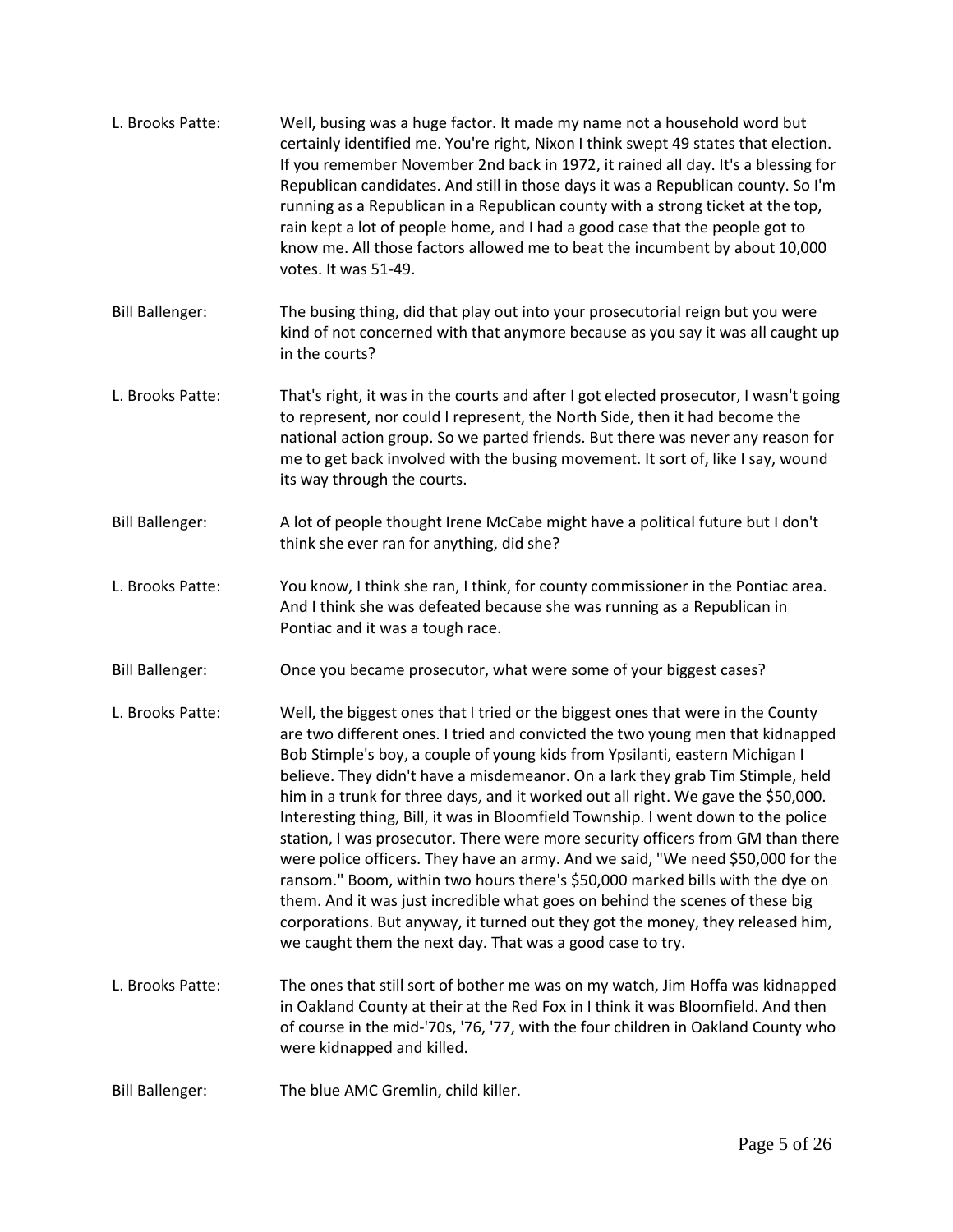| L. Brooks Patte:       | Well, busing was a huge factor. It made my name not a household word but<br>certainly identified me. You're right, Nixon I think swept 49 states that election.<br>If you remember November 2nd back in 1972, it rained all day. It's a blessing for<br>Republican candidates. And still in those days it was a Republican county. So I'm<br>running as a Republican in a Republican county with a strong ticket at the top,<br>rain kept a lot of people home, and I had a good case that the people got to<br>know me. All those factors allowed me to beat the incumbent by about 10,000<br>votes. It was 51-49.                                                                                                                                                                                                                                                                                                                                                                                 |
|------------------------|-----------------------------------------------------------------------------------------------------------------------------------------------------------------------------------------------------------------------------------------------------------------------------------------------------------------------------------------------------------------------------------------------------------------------------------------------------------------------------------------------------------------------------------------------------------------------------------------------------------------------------------------------------------------------------------------------------------------------------------------------------------------------------------------------------------------------------------------------------------------------------------------------------------------------------------------------------------------------------------------------------|
| <b>Bill Ballenger:</b> | The busing thing, did that play out into your prosecutorial reign but you were<br>kind of not concerned with that anymore because as you say it was all caught up<br>in the courts?                                                                                                                                                                                                                                                                                                                                                                                                                                                                                                                                                                                                                                                                                                                                                                                                                 |
| L. Brooks Patte:       | That's right, it was in the courts and after I got elected prosecutor, I wasn't going<br>to represent, nor could I represent, the North Side, then it had become the<br>national action group. So we parted friends. But there was never any reason for<br>me to get back involved with the busing movement. It sort of, like I say, wound<br>its way through the courts.                                                                                                                                                                                                                                                                                                                                                                                                                                                                                                                                                                                                                           |
| <b>Bill Ballenger:</b> | A lot of people thought Irene McCabe might have a political future but I don't<br>think she ever ran for anything, did she?                                                                                                                                                                                                                                                                                                                                                                                                                                                                                                                                                                                                                                                                                                                                                                                                                                                                         |
| L. Brooks Patte:       | You know, I think she ran, I think, for county commissioner in the Pontiac area.<br>And I think she was defeated because she was running as a Republican in<br>Pontiac and it was a tough race.                                                                                                                                                                                                                                                                                                                                                                                                                                                                                                                                                                                                                                                                                                                                                                                                     |
| <b>Bill Ballenger:</b> | Once you became prosecutor, what were some of your biggest cases?                                                                                                                                                                                                                                                                                                                                                                                                                                                                                                                                                                                                                                                                                                                                                                                                                                                                                                                                   |
| L. Brooks Patte:       | Well, the biggest ones that I tried or the biggest ones that were in the County<br>are two different ones. I tried and convicted the two young men that kidnapped<br>Bob Stimple's boy, a couple of young kids from Ypsilanti, eastern Michigan I<br>believe. They didn't have a misdemeanor. On a lark they grab Tim Stimple, held<br>him in a trunk for three days, and it worked out all right. We gave the \$50,000.<br>Interesting thing, Bill, it was in Bloomfield Township. I went down to the police<br>station, I was prosecutor. There were more security officers from GM than there<br>were police officers. They have an army. And we said, "We need \$50,000 for the<br>ransom." Boom, within two hours there's \$50,000 marked bills with the dye on<br>them. And it was just incredible what goes on behind the scenes of these big<br>corporations. But anyway, it turned out they got the money, they released him,<br>we caught them the next day. That was a good case to try. |
| L. Brooks Patte:       | The ones that still sort of bother me was on my watch, Jim Hoffa was kidnapped<br>in Oakland County at their at the Red Fox in I think it was Bloomfield. And then<br>of course in the mid-'70s, '76, '77, with the four children in Oakland County who<br>were kidnapped and killed.                                                                                                                                                                                                                                                                                                                                                                                                                                                                                                                                                                                                                                                                                                               |
| <b>Bill Ballenger:</b> | The blue AMC Gremlin, child killer.                                                                                                                                                                                                                                                                                                                                                                                                                                                                                                                                                                                                                                                                                                                                                                                                                                                                                                                                                                 |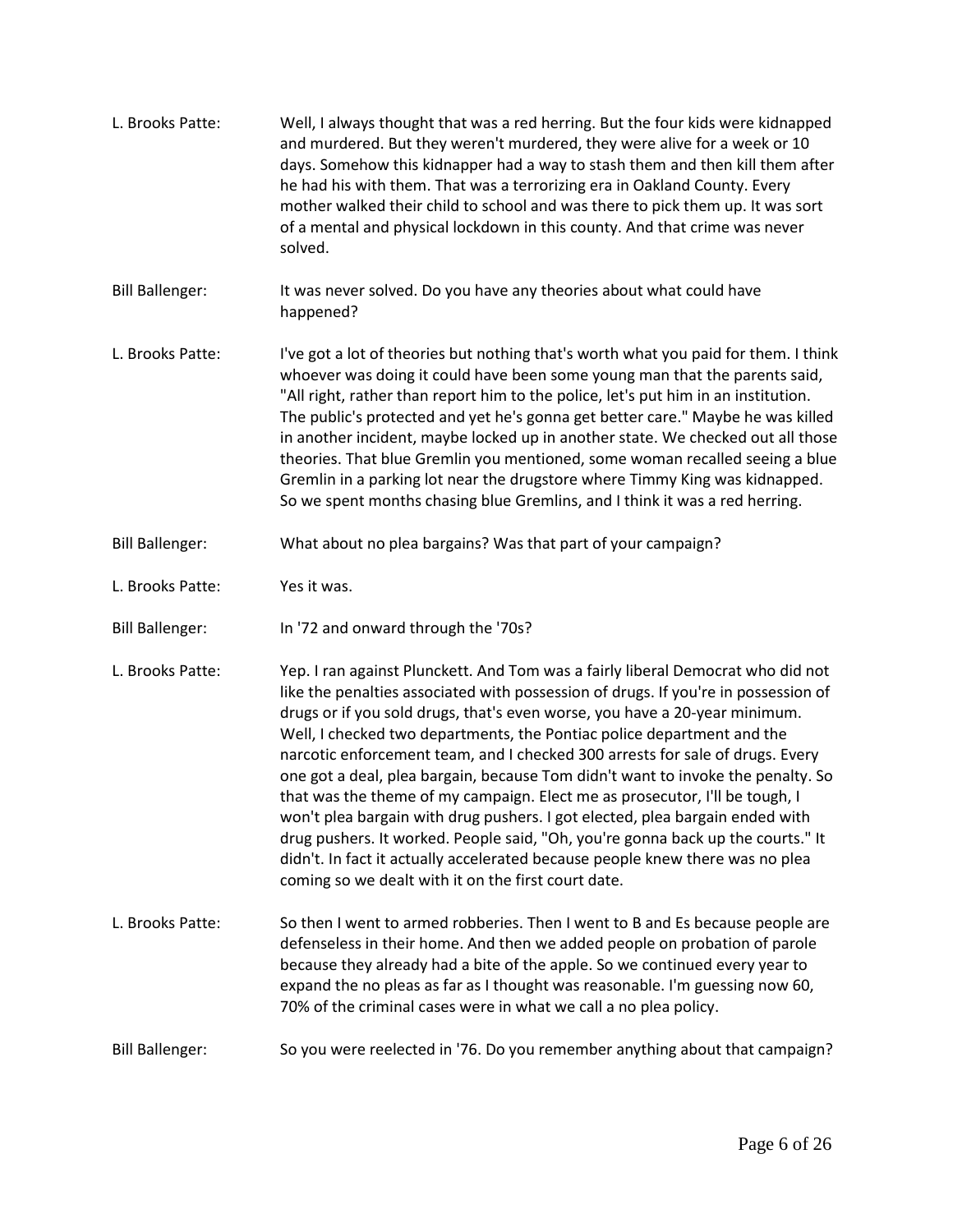| L. Brooks Patte:       | Well, I always thought that was a red herring. But the four kids were kidnapped<br>and murdered. But they weren't murdered, they were alive for a week or 10<br>days. Somehow this kidnapper had a way to stash them and then kill them after<br>he had his with them. That was a terrorizing era in Oakland County. Every<br>mother walked their child to school and was there to pick them up. It was sort<br>of a mental and physical lockdown in this county. And that crime was never<br>solved.                                                                                                                                                                                                                                                                                                                                                                                       |
|------------------------|---------------------------------------------------------------------------------------------------------------------------------------------------------------------------------------------------------------------------------------------------------------------------------------------------------------------------------------------------------------------------------------------------------------------------------------------------------------------------------------------------------------------------------------------------------------------------------------------------------------------------------------------------------------------------------------------------------------------------------------------------------------------------------------------------------------------------------------------------------------------------------------------|
| <b>Bill Ballenger:</b> | It was never solved. Do you have any theories about what could have<br>happened?                                                                                                                                                                                                                                                                                                                                                                                                                                                                                                                                                                                                                                                                                                                                                                                                            |
| L. Brooks Patte:       | I've got a lot of theories but nothing that's worth what you paid for them. I think<br>whoever was doing it could have been some young man that the parents said,<br>"All right, rather than report him to the police, let's put him in an institution.<br>The public's protected and yet he's gonna get better care." Maybe he was killed<br>in another incident, maybe locked up in another state. We checked out all those<br>theories. That blue Gremlin you mentioned, some woman recalled seeing a blue<br>Gremlin in a parking lot near the drugstore where Timmy King was kidnapped.<br>So we spent months chasing blue Gremlins, and I think it was a red herring.                                                                                                                                                                                                                 |
| <b>Bill Ballenger:</b> | What about no plea bargains? Was that part of your campaign?                                                                                                                                                                                                                                                                                                                                                                                                                                                                                                                                                                                                                                                                                                                                                                                                                                |
| L. Brooks Patte:       | Yes it was.                                                                                                                                                                                                                                                                                                                                                                                                                                                                                                                                                                                                                                                                                                                                                                                                                                                                                 |
| <b>Bill Ballenger:</b> | In '72 and onward through the '70s?                                                                                                                                                                                                                                                                                                                                                                                                                                                                                                                                                                                                                                                                                                                                                                                                                                                         |
| L. Brooks Patte:       | Yep. I ran against Plunckett. And Tom was a fairly liberal Democrat who did not<br>like the penalties associated with possession of drugs. If you're in possession of<br>drugs or if you sold drugs, that's even worse, you have a 20-year minimum.<br>Well, I checked two departments, the Pontiac police department and the<br>narcotic enforcement team, and I checked 300 arrests for sale of drugs. Every<br>one got a deal, plea bargain, because Tom didn't want to invoke the penalty. So<br>that was the theme of my campaign. Elect me as prosecutor, I'll be tough, I<br>won't plea bargain with drug pushers. I got elected, plea bargain ended with<br>drug pushers. It worked. People said, "Oh, you're gonna back up the courts." It<br>didn't. In fact it actually accelerated because people knew there was no plea<br>coming so we dealt with it on the first court date. |
| L. Brooks Patte:       | So then I went to armed robberies. Then I went to B and Es because people are<br>defenseless in their home. And then we added people on probation of parole<br>because they already had a bite of the apple. So we continued every year to<br>expand the no pleas as far as I thought was reasonable. I'm guessing now 60,<br>70% of the criminal cases were in what we call a no plea policy.                                                                                                                                                                                                                                                                                                                                                                                                                                                                                              |
| <b>Bill Ballenger:</b> | So you were reelected in '76. Do you remember anything about that campaign?                                                                                                                                                                                                                                                                                                                                                                                                                                                                                                                                                                                                                                                                                                                                                                                                                 |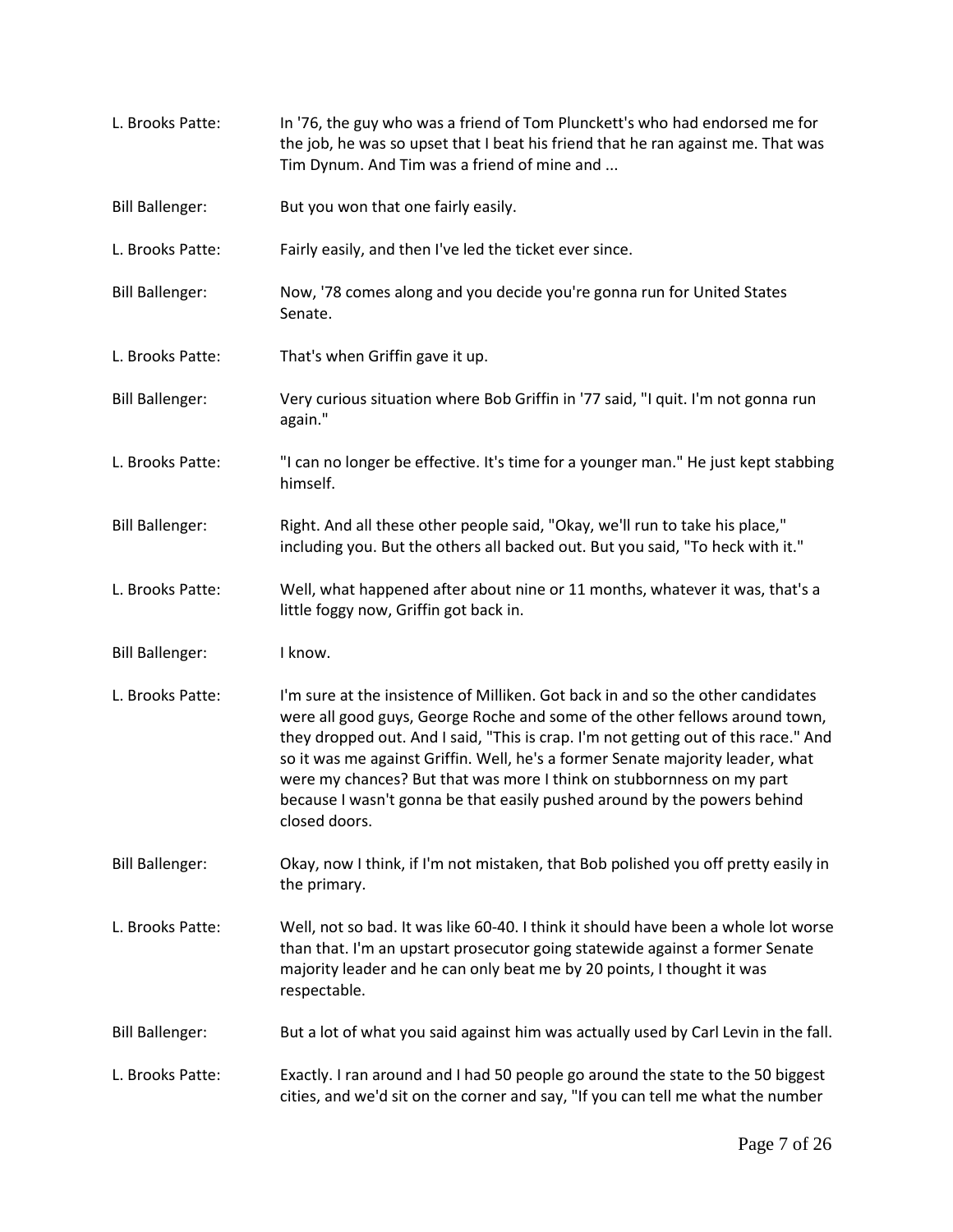| L. Brooks Patte:       | In '76, the guy who was a friend of Tom Plunckett's who had endorsed me for<br>the job, he was so upset that I beat his friend that he ran against me. That was<br>Tim Dynum. And Tim was a friend of mine and                                                                                                                                                                                                                                                                                                |  |
|------------------------|---------------------------------------------------------------------------------------------------------------------------------------------------------------------------------------------------------------------------------------------------------------------------------------------------------------------------------------------------------------------------------------------------------------------------------------------------------------------------------------------------------------|--|
| <b>Bill Ballenger:</b> | But you won that one fairly easily.                                                                                                                                                                                                                                                                                                                                                                                                                                                                           |  |
| L. Brooks Patte:       | Fairly easily, and then I've led the ticket ever since.                                                                                                                                                                                                                                                                                                                                                                                                                                                       |  |
| <b>Bill Ballenger:</b> | Now, '78 comes along and you decide you're gonna run for United States<br>Senate.                                                                                                                                                                                                                                                                                                                                                                                                                             |  |
| L. Brooks Patte:       | That's when Griffin gave it up.                                                                                                                                                                                                                                                                                                                                                                                                                                                                               |  |
| <b>Bill Ballenger:</b> | Very curious situation where Bob Griffin in '77 said, "I quit. I'm not gonna run<br>again."                                                                                                                                                                                                                                                                                                                                                                                                                   |  |
| L. Brooks Patte:       | "I can no longer be effective. It's time for a younger man." He just kept stabbing<br>himself.                                                                                                                                                                                                                                                                                                                                                                                                                |  |
| <b>Bill Ballenger:</b> | Right. And all these other people said, "Okay, we'll run to take his place,"<br>including you. But the others all backed out. But you said, "To heck with it."                                                                                                                                                                                                                                                                                                                                                |  |
| L. Brooks Patte:       | Well, what happened after about nine or 11 months, whatever it was, that's a<br>little foggy now, Griffin got back in.                                                                                                                                                                                                                                                                                                                                                                                        |  |
| <b>Bill Ballenger:</b> | I know.                                                                                                                                                                                                                                                                                                                                                                                                                                                                                                       |  |
| L. Brooks Patte:       | I'm sure at the insistence of Milliken. Got back in and so the other candidates<br>were all good guys, George Roche and some of the other fellows around town,<br>they dropped out. And I said, "This is crap. I'm not getting out of this race." And<br>so it was me against Griffin. Well, he's a former Senate majority leader, what<br>were my chances? But that was more I think on stubbornness on my part<br>because I wasn't gonna be that easily pushed around by the powers behind<br>closed doors. |  |
| <b>Bill Ballenger:</b> | Okay, now I think, if I'm not mistaken, that Bob polished you off pretty easily in<br>the primary.                                                                                                                                                                                                                                                                                                                                                                                                            |  |
| L. Brooks Patte:       | Well, not so bad. It was like 60-40. I think it should have been a whole lot worse<br>than that. I'm an upstart prosecutor going statewide against a former Senate<br>majority leader and he can only beat me by 20 points, I thought it was<br>respectable.                                                                                                                                                                                                                                                  |  |
| <b>Bill Ballenger:</b> | But a lot of what you said against him was actually used by Carl Levin in the fall.                                                                                                                                                                                                                                                                                                                                                                                                                           |  |
| L. Brooks Patte:       | Exactly. I ran around and I had 50 people go around the state to the 50 biggest<br>cities, and we'd sit on the corner and say, "If you can tell me what the number                                                                                                                                                                                                                                                                                                                                            |  |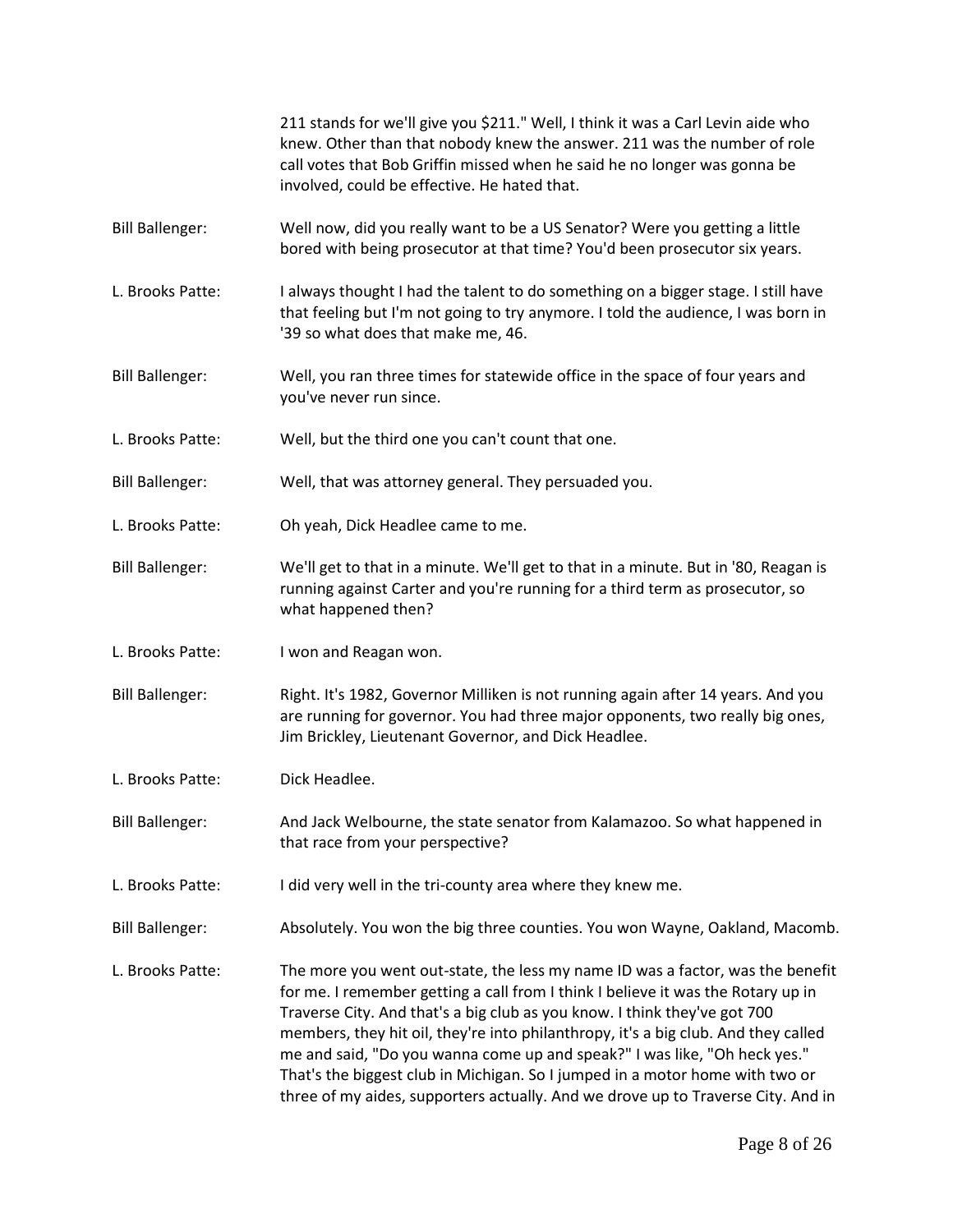|                        | 211 stands for we'll give you \$211." Well, I think it was a Carl Levin aide who<br>knew. Other than that nobody knew the answer. 211 was the number of role<br>call votes that Bob Griffin missed when he said he no longer was gonna be<br>involved, could be effective. He hated that.                                                                                                                                                                                                                                                                                              |
|------------------------|----------------------------------------------------------------------------------------------------------------------------------------------------------------------------------------------------------------------------------------------------------------------------------------------------------------------------------------------------------------------------------------------------------------------------------------------------------------------------------------------------------------------------------------------------------------------------------------|
| <b>Bill Ballenger:</b> | Well now, did you really want to be a US Senator? Were you getting a little<br>bored with being prosecutor at that time? You'd been prosecutor six years.                                                                                                                                                                                                                                                                                                                                                                                                                              |
| L. Brooks Patte:       | I always thought I had the talent to do something on a bigger stage. I still have<br>that feeling but I'm not going to try anymore. I told the audience, I was born in<br>'39 so what does that make me, 46.                                                                                                                                                                                                                                                                                                                                                                           |
| <b>Bill Ballenger:</b> | Well, you ran three times for statewide office in the space of four years and<br>you've never run since.                                                                                                                                                                                                                                                                                                                                                                                                                                                                               |
| L. Brooks Patte:       | Well, but the third one you can't count that one.                                                                                                                                                                                                                                                                                                                                                                                                                                                                                                                                      |
| <b>Bill Ballenger:</b> | Well, that was attorney general. They persuaded you.                                                                                                                                                                                                                                                                                                                                                                                                                                                                                                                                   |
| L. Brooks Patte:       | Oh yeah, Dick Headlee came to me.                                                                                                                                                                                                                                                                                                                                                                                                                                                                                                                                                      |
| <b>Bill Ballenger:</b> | We'll get to that in a minute. We'll get to that in a minute. But in '80, Reagan is<br>running against Carter and you're running for a third term as prosecutor, so<br>what happened then?                                                                                                                                                                                                                                                                                                                                                                                             |
| L. Brooks Patte:       | I won and Reagan won.                                                                                                                                                                                                                                                                                                                                                                                                                                                                                                                                                                  |
| <b>Bill Ballenger:</b> | Right. It's 1982, Governor Milliken is not running again after 14 years. And you<br>are running for governor. You had three major opponents, two really big ones,<br>Jim Brickley, Lieutenant Governor, and Dick Headlee.                                                                                                                                                                                                                                                                                                                                                              |
| L. Brooks Patte:       | Dick Headlee.                                                                                                                                                                                                                                                                                                                                                                                                                                                                                                                                                                          |
| <b>Bill Ballenger:</b> | And Jack Welbourne, the state senator from Kalamazoo. So what happened in<br>that race from your perspective?                                                                                                                                                                                                                                                                                                                                                                                                                                                                          |
| L. Brooks Patte:       | I did very well in the tri-county area where they knew me.                                                                                                                                                                                                                                                                                                                                                                                                                                                                                                                             |
| <b>Bill Ballenger:</b> | Absolutely. You won the big three counties. You won Wayne, Oakland, Macomb.                                                                                                                                                                                                                                                                                                                                                                                                                                                                                                            |
| L. Brooks Patte:       | The more you went out-state, the less my name ID was a factor, was the benefit<br>for me. I remember getting a call from I think I believe it was the Rotary up in<br>Traverse City. And that's a big club as you know. I think they've got 700<br>members, they hit oil, they're into philanthropy, it's a big club. And they called<br>me and said, "Do you wanna come up and speak?" I was like, "Oh heck yes."<br>That's the biggest club in Michigan. So I jumped in a motor home with two or<br>three of my aides, supporters actually. And we drove up to Traverse City. And in |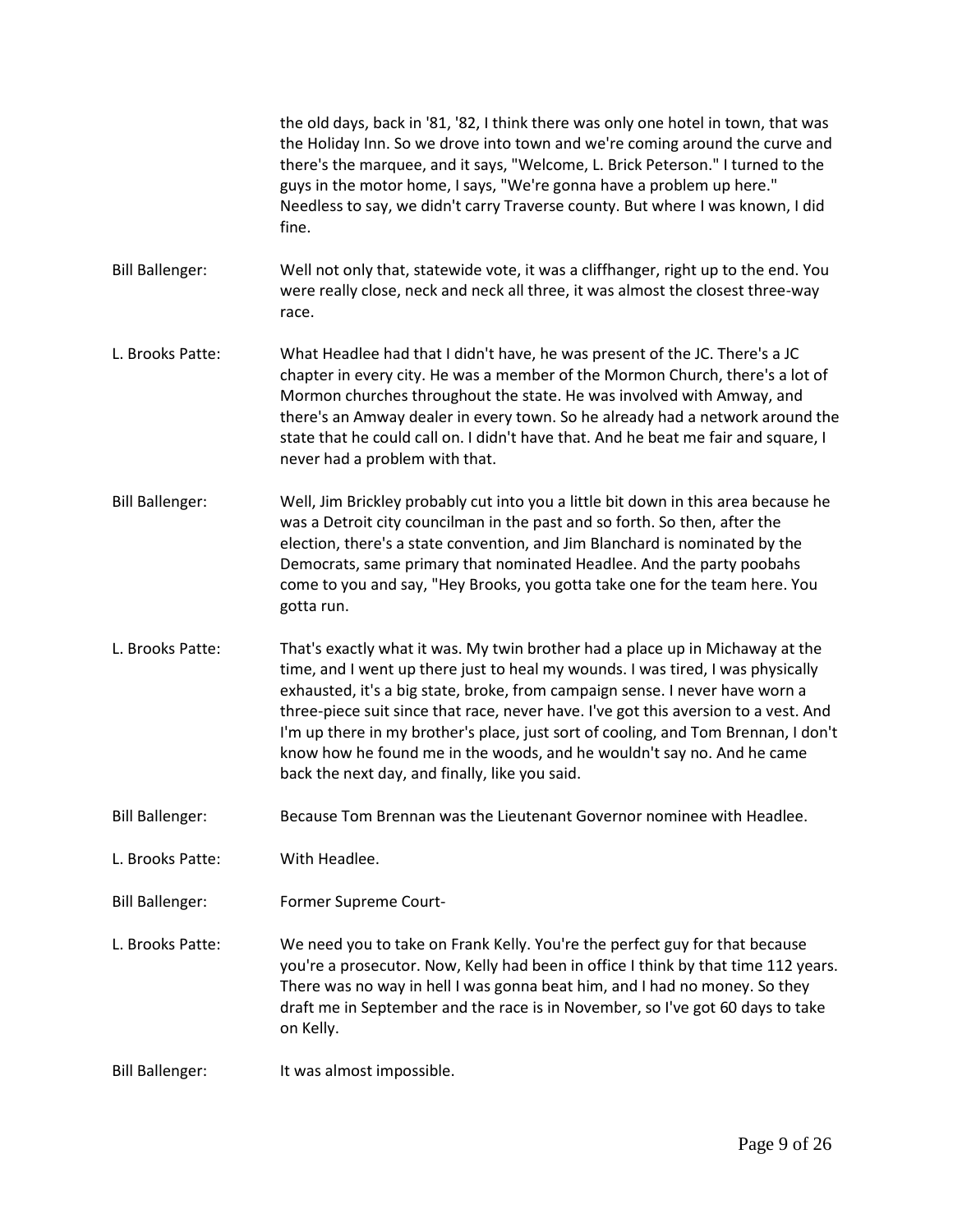|                        | the old days, back in '81, '82, I think there was only one hotel in town, that was<br>the Holiday Inn. So we drove into town and we're coming around the curve and<br>there's the marquee, and it says, "Welcome, L. Brick Peterson." I turned to the<br>guys in the motor home, I says, "We're gonna have a problem up here."<br>Needless to say, we didn't carry Traverse county. But where I was known, I did<br>fine.                                                                                                                                 |
|------------------------|-----------------------------------------------------------------------------------------------------------------------------------------------------------------------------------------------------------------------------------------------------------------------------------------------------------------------------------------------------------------------------------------------------------------------------------------------------------------------------------------------------------------------------------------------------------|
| <b>Bill Ballenger:</b> | Well not only that, statewide vote, it was a cliffhanger, right up to the end. You<br>were really close, neck and neck all three, it was almost the closest three-way<br>race.                                                                                                                                                                                                                                                                                                                                                                            |
| L. Brooks Patte:       | What Headlee had that I didn't have, he was present of the JC. There's a JC<br>chapter in every city. He was a member of the Mormon Church, there's a lot of<br>Mormon churches throughout the state. He was involved with Amway, and<br>there's an Amway dealer in every town. So he already had a network around the<br>state that he could call on. I didn't have that. And he beat me fair and square, I<br>never had a problem with that.                                                                                                            |
| <b>Bill Ballenger:</b> | Well, Jim Brickley probably cut into you a little bit down in this area because he<br>was a Detroit city councilman in the past and so forth. So then, after the<br>election, there's a state convention, and Jim Blanchard is nominated by the<br>Democrats, same primary that nominated Headlee. And the party poobahs<br>come to you and say, "Hey Brooks, you gotta take one for the team here. You<br>gotta run.                                                                                                                                     |
| L. Brooks Patte:       | That's exactly what it was. My twin brother had a place up in Michaway at the<br>time, and I went up there just to heal my wounds. I was tired, I was physically<br>exhausted, it's a big state, broke, from campaign sense. I never have worn a<br>three-piece suit since that race, never have. I've got this aversion to a vest. And<br>I'm up there in my brother's place, just sort of cooling, and Tom Brennan, I don't<br>know how he found me in the woods, and he wouldn't say no. And he came<br>back the next day, and finally, like you said. |
| <b>Bill Ballenger:</b> | Because Tom Brennan was the Lieutenant Governor nominee with Headlee.                                                                                                                                                                                                                                                                                                                                                                                                                                                                                     |
| L. Brooks Patte:       | With Headlee.                                                                                                                                                                                                                                                                                                                                                                                                                                                                                                                                             |
| <b>Bill Ballenger:</b> | Former Supreme Court-                                                                                                                                                                                                                                                                                                                                                                                                                                                                                                                                     |
| L. Brooks Patte:       | We need you to take on Frank Kelly. You're the perfect guy for that because<br>you're a prosecutor. Now, Kelly had been in office I think by that time 112 years.<br>There was no way in hell I was gonna beat him, and I had no money. So they<br>draft me in September and the race is in November, so I've got 60 days to take<br>on Kelly.                                                                                                                                                                                                            |
| <b>Bill Ballenger:</b> | It was almost impossible.                                                                                                                                                                                                                                                                                                                                                                                                                                                                                                                                 |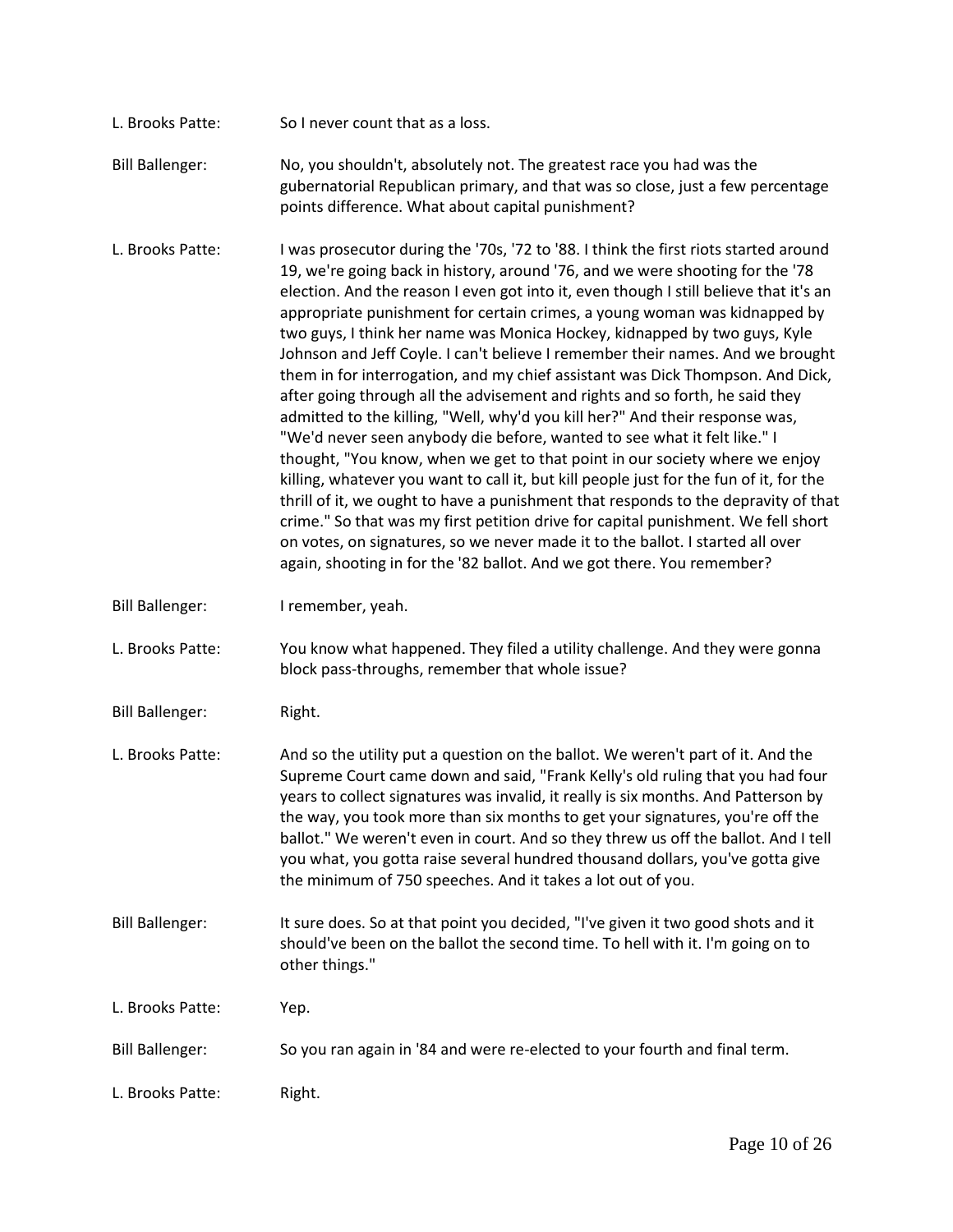- L. Brooks Patte: So I never count that as a loss.
- Bill Ballenger: No, you shouldn't, absolutely not. The greatest race you had was the gubernatorial Republican primary, and that was so close, just a few percentage points difference. What about capital punishment?
- L. Brooks Patte: I was prosecutor during the '70s, '72 to '88. I think the first riots started around 19, we're going back in history, around '76, and we were shooting for the '78 election. And the reason I even got into it, even though I still believe that it's an appropriate punishment for certain crimes, a young woman was kidnapped by two guys, I think her name was Monica Hockey, kidnapped by two guys, Kyle Johnson and Jeff Coyle. I can't believe I remember their names. And we brought them in for interrogation, and my chief assistant was Dick Thompson. And Dick, after going through all the advisement and rights and so forth, he said they admitted to the killing, "Well, why'd you kill her?" And their response was, "We'd never seen anybody die before, wanted to see what it felt like." I thought, "You know, when we get to that point in our society where we enjoy killing, whatever you want to call it, but kill people just for the fun of it, for the thrill of it, we ought to have a punishment that responds to the depravity of that crime." So that was my first petition drive for capital punishment. We fell short on votes, on signatures, so we never made it to the ballot. I started all over again, shooting in for the '82 ballot. And we got there. You remember?
- Bill Ballenger: I remember, yeah.
- L. Brooks Patte: You know what happened. They filed a utility challenge. And they were gonna block pass-throughs, remember that whole issue?
- Bill Ballenger: Right.
- L. Brooks Patte: And so the utility put a question on the ballot. We weren't part of it. And the Supreme Court came down and said, "Frank Kelly's old ruling that you had four years to collect signatures was invalid, it really is six months. And Patterson by the way, you took more than six months to get your signatures, you're off the ballot." We weren't even in court. And so they threw us off the ballot. And I tell you what, you gotta raise several hundred thousand dollars, you've gotta give the minimum of 750 speeches. And it takes a lot out of you.
- Bill Ballenger: It sure does. So at that point you decided, "I've given it two good shots and it should've been on the ballot the second time. To hell with it. I'm going on to other things."
- L. Brooks Patte: Yep.
- Bill Ballenger: So you ran again in '84 and were re-elected to your fourth and final term.
- L. Brooks Patte: Right.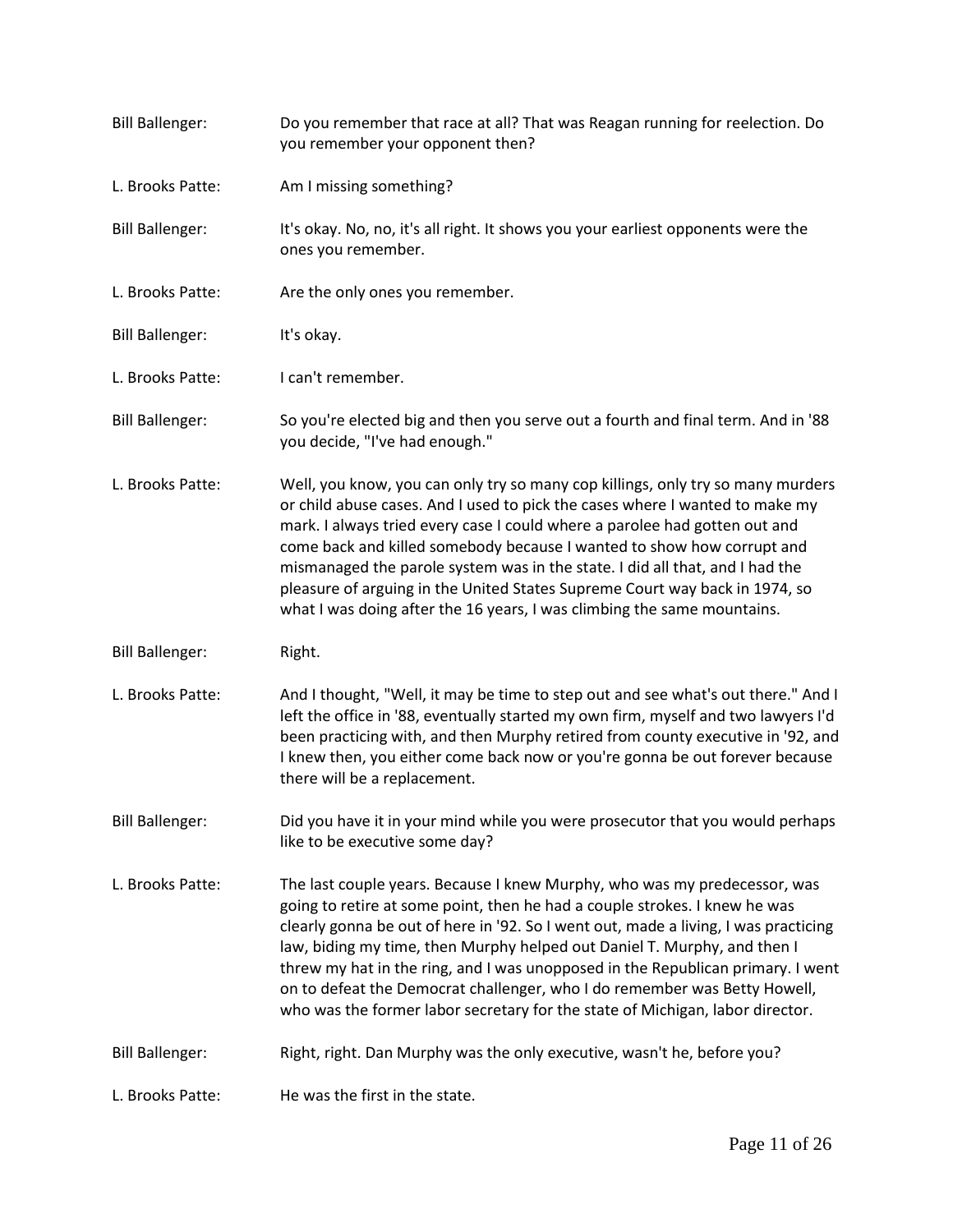| <b>Bill Ballenger:</b> | Do you remember that race at all? That was Reagan running for reelection. Do<br>you remember your opponent then?                                                                                                                                                                                                                                                                                                                                                                                                                                                            |
|------------------------|-----------------------------------------------------------------------------------------------------------------------------------------------------------------------------------------------------------------------------------------------------------------------------------------------------------------------------------------------------------------------------------------------------------------------------------------------------------------------------------------------------------------------------------------------------------------------------|
| L. Brooks Patte:       | Am I missing something?                                                                                                                                                                                                                                                                                                                                                                                                                                                                                                                                                     |
| <b>Bill Ballenger:</b> | It's okay. No, no, it's all right. It shows you your earliest opponents were the<br>ones you remember.                                                                                                                                                                                                                                                                                                                                                                                                                                                                      |
| L. Brooks Patte:       | Are the only ones you remember.                                                                                                                                                                                                                                                                                                                                                                                                                                                                                                                                             |
| <b>Bill Ballenger:</b> | It's okay.                                                                                                                                                                                                                                                                                                                                                                                                                                                                                                                                                                  |
| L. Brooks Patte:       | I can't remember.                                                                                                                                                                                                                                                                                                                                                                                                                                                                                                                                                           |
| <b>Bill Ballenger:</b> | So you're elected big and then you serve out a fourth and final term. And in '88<br>you decide, "I've had enough."                                                                                                                                                                                                                                                                                                                                                                                                                                                          |
| L. Brooks Patte:       | Well, you know, you can only try so many cop killings, only try so many murders<br>or child abuse cases. And I used to pick the cases where I wanted to make my<br>mark. I always tried every case I could where a parolee had gotten out and<br>come back and killed somebody because I wanted to show how corrupt and<br>mismanaged the parole system was in the state. I did all that, and I had the<br>pleasure of arguing in the United States Supreme Court way back in 1974, so<br>what I was doing after the 16 years, I was climbing the same mountains.           |
| <b>Bill Ballenger:</b> | Right.                                                                                                                                                                                                                                                                                                                                                                                                                                                                                                                                                                      |
| L. Brooks Patte:       | And I thought, "Well, it may be time to step out and see what's out there." And I<br>left the office in '88, eventually started my own firm, myself and two lawyers I'd<br>been practicing with, and then Murphy retired from county executive in '92, and<br>I knew then, you either come back now or you're gonna be out forever because<br>there will be a replacement.                                                                                                                                                                                                  |
| <b>Bill Ballenger:</b> | Did you have it in your mind while you were prosecutor that you would perhaps<br>like to be executive some day?                                                                                                                                                                                                                                                                                                                                                                                                                                                             |
| L. Brooks Patte:       | The last couple years. Because I knew Murphy, who was my predecessor, was<br>going to retire at some point, then he had a couple strokes. I knew he was<br>clearly gonna be out of here in '92. So I went out, made a living, I was practicing<br>law, biding my time, then Murphy helped out Daniel T. Murphy, and then I<br>threw my hat in the ring, and I was unopposed in the Republican primary. I went<br>on to defeat the Democrat challenger, who I do remember was Betty Howell,<br>who was the former labor secretary for the state of Michigan, labor director. |
| <b>Bill Ballenger:</b> | Right, right. Dan Murphy was the only executive, wasn't he, before you?                                                                                                                                                                                                                                                                                                                                                                                                                                                                                                     |
| L. Brooks Patte:       | He was the first in the state.                                                                                                                                                                                                                                                                                                                                                                                                                                                                                                                                              |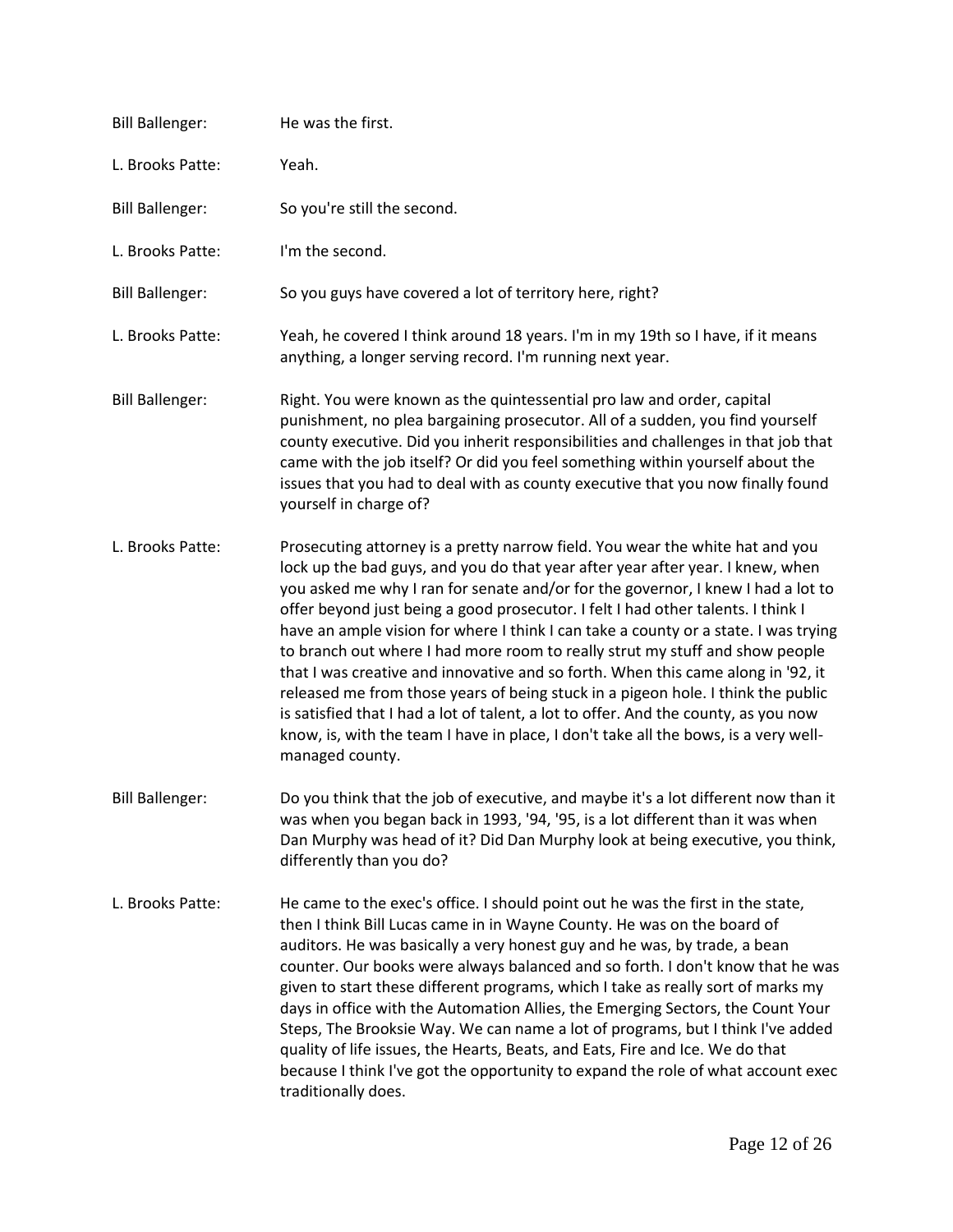| <b>Bill Ballenger:</b> | He was the first.                                                                                                                                                                                                                                                                                                                                                                                                                                                                                                                                                                                                                                                                                                                                                                                                                                                                       |
|------------------------|-----------------------------------------------------------------------------------------------------------------------------------------------------------------------------------------------------------------------------------------------------------------------------------------------------------------------------------------------------------------------------------------------------------------------------------------------------------------------------------------------------------------------------------------------------------------------------------------------------------------------------------------------------------------------------------------------------------------------------------------------------------------------------------------------------------------------------------------------------------------------------------------|
| L. Brooks Patte:       | Yeah.                                                                                                                                                                                                                                                                                                                                                                                                                                                                                                                                                                                                                                                                                                                                                                                                                                                                                   |
| <b>Bill Ballenger:</b> | So you're still the second.                                                                                                                                                                                                                                                                                                                                                                                                                                                                                                                                                                                                                                                                                                                                                                                                                                                             |
| L. Brooks Patte:       | I'm the second.                                                                                                                                                                                                                                                                                                                                                                                                                                                                                                                                                                                                                                                                                                                                                                                                                                                                         |
| <b>Bill Ballenger:</b> | So you guys have covered a lot of territory here, right?                                                                                                                                                                                                                                                                                                                                                                                                                                                                                                                                                                                                                                                                                                                                                                                                                                |
| L. Brooks Patte:       | Yeah, he covered I think around 18 years. I'm in my 19th so I have, if it means<br>anything, a longer serving record. I'm running next year.                                                                                                                                                                                                                                                                                                                                                                                                                                                                                                                                                                                                                                                                                                                                            |
| <b>Bill Ballenger:</b> | Right. You were known as the quintessential pro law and order, capital<br>punishment, no plea bargaining prosecutor. All of a sudden, you find yourself<br>county executive. Did you inherit responsibilities and challenges in that job that<br>came with the job itself? Or did you feel something within yourself about the<br>issues that you had to deal with as county executive that you now finally found<br>yourself in charge of?                                                                                                                                                                                                                                                                                                                                                                                                                                             |
| L. Brooks Patte:       | Prosecuting attorney is a pretty narrow field. You wear the white hat and you<br>lock up the bad guys, and you do that year after year after year. I knew, when<br>you asked me why I ran for senate and/or for the governor, I knew I had a lot to<br>offer beyond just being a good prosecutor. I felt I had other talents. I think I<br>have an ample vision for where I think I can take a county or a state. I was trying<br>to branch out where I had more room to really strut my stuff and show people<br>that I was creative and innovative and so forth. When this came along in '92, it<br>released me from those years of being stuck in a pigeon hole. I think the public<br>is satisfied that I had a lot of talent, a lot to offer. And the county, as you now<br>know, is, with the team I have in place, I don't take all the bows, is a very well-<br>managed county. |
| <b>Bill Ballenger:</b> | Do you think that the job of executive, and maybe it's a lot different now than it<br>was when you began back in 1993, '94, '95, is a lot different than it was when<br>Dan Murphy was head of it? Did Dan Murphy look at being executive, you think,<br>differently than you do?                                                                                                                                                                                                                                                                                                                                                                                                                                                                                                                                                                                                       |
| L. Brooks Patte:       | He came to the exec's office. I should point out he was the first in the state,<br>then I think Bill Lucas came in in Wayne County. He was on the board of<br>auditors. He was basically a very honest guy and he was, by trade, a bean<br>counter. Our books were always balanced and so forth. I don't know that he was<br>given to start these different programs, which I take as really sort of marks my<br>days in office with the Automation Allies, the Emerging Sectors, the Count Your<br>Steps, The Brooksie Way. We can name a lot of programs, but I think I've added<br>quality of life issues, the Hearts, Beats, and Eats, Fire and Ice. We do that<br>because I think I've got the opportunity to expand the role of what account exec<br>traditionally does.                                                                                                          |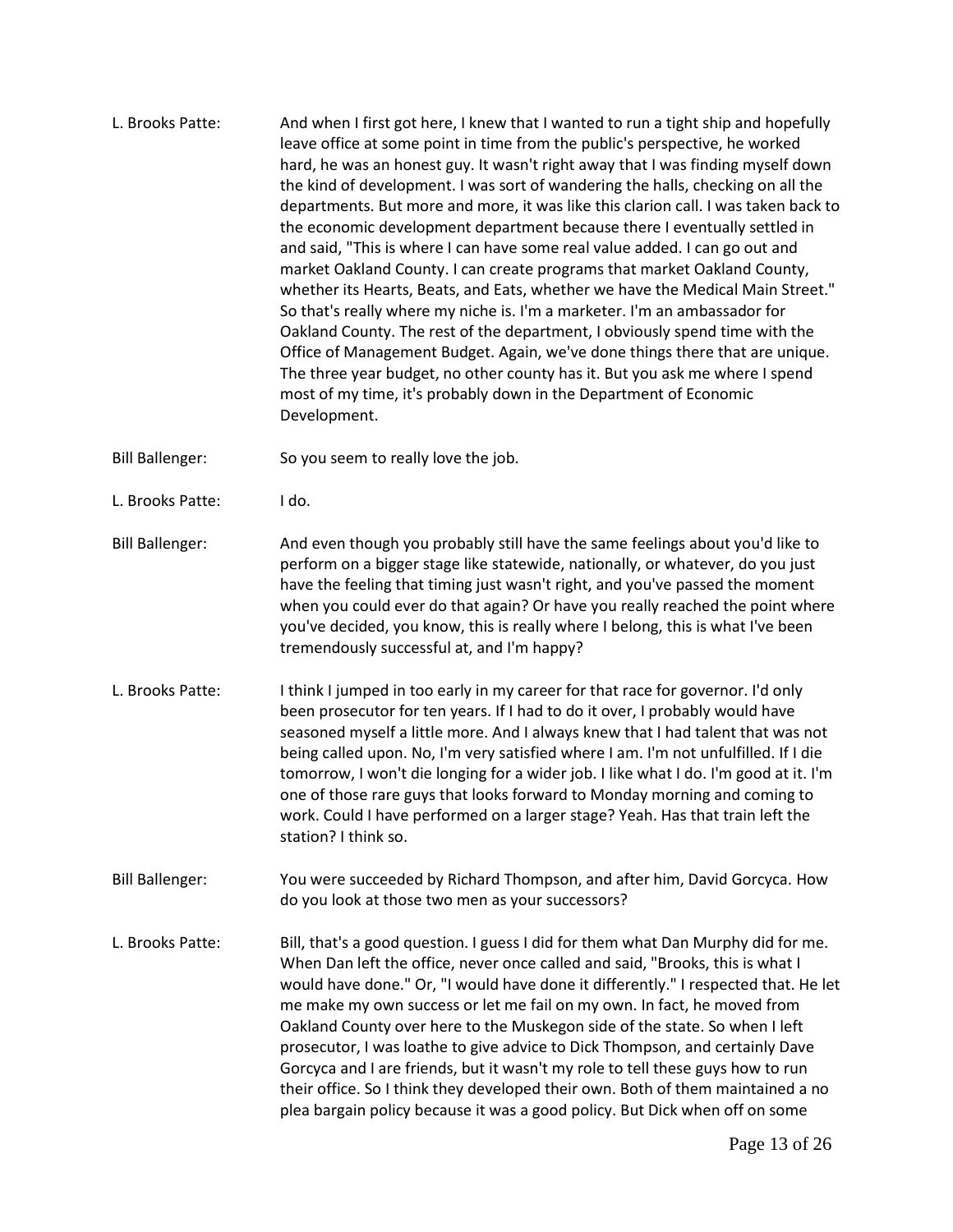L. Brooks Patte: And when I first got here, I knew that I wanted to run a tight ship and hopefully leave office at some point in time from the public's perspective, he worked hard, he was an honest guy. It wasn't right away that I was finding myself down the kind of development. I was sort of wandering the halls, checking on all the departments. But more and more, it was like this clarion call. I was taken back to the economic development department because there I eventually settled in and said, "This is where I can have some real value added. I can go out and market Oakland County. I can create programs that market Oakland County, whether its Hearts, Beats, and Eats, whether we have the Medical Main Street." So that's really where my niche is. I'm a marketer. I'm an ambassador for Oakland County. The rest of the department, I obviously spend time with the Office of Management Budget. Again, we've done things there that are unique. The three year budget, no other county has it. But you ask me where I spend most of my time, it's probably down in the Department of Economic Development.

Bill Ballenger: So you seem to really love the job.

- L. Brooks Patte: I do.
- Bill Ballenger: And even though you probably still have the same feelings about you'd like to perform on a bigger stage like statewide, nationally, or whatever, do you just have the feeling that timing just wasn't right, and you've passed the moment when you could ever do that again? Or have you really reached the point where you've decided, you know, this is really where I belong, this is what I've been tremendously successful at, and I'm happy?
- L. Brooks Patte: I think I jumped in too early in my career for that race for governor. I'd only been prosecutor for ten years. If I had to do it over, I probably would have seasoned myself a little more. And I always knew that I had talent that was not being called upon. No, I'm very satisfied where I am. I'm not unfulfilled. If I die tomorrow, I won't die longing for a wider job. I like what I do. I'm good at it. I'm one of those rare guys that looks forward to Monday morning and coming to work. Could I have performed on a larger stage? Yeah. Has that train left the station? I think so.
- Bill Ballenger: You were succeeded by Richard Thompson, and after him, David Gorcyca. How do you look at those two men as your successors?
- L. Brooks Patte: Bill, that's a good question. I guess I did for them what Dan Murphy did for me. When Dan left the office, never once called and said, "Brooks, this is what I would have done." Or, "I would have done it differently." I respected that. He let me make my own success or let me fail on my own. In fact, he moved from Oakland County over here to the Muskegon side of the state. So when I left prosecutor, I was loathe to give advice to Dick Thompson, and certainly Dave Gorcyca and I are friends, but it wasn't my role to tell these guys how to run their office. So I think they developed their own. Both of them maintained a no plea bargain policy because it was a good policy. But Dick when off on some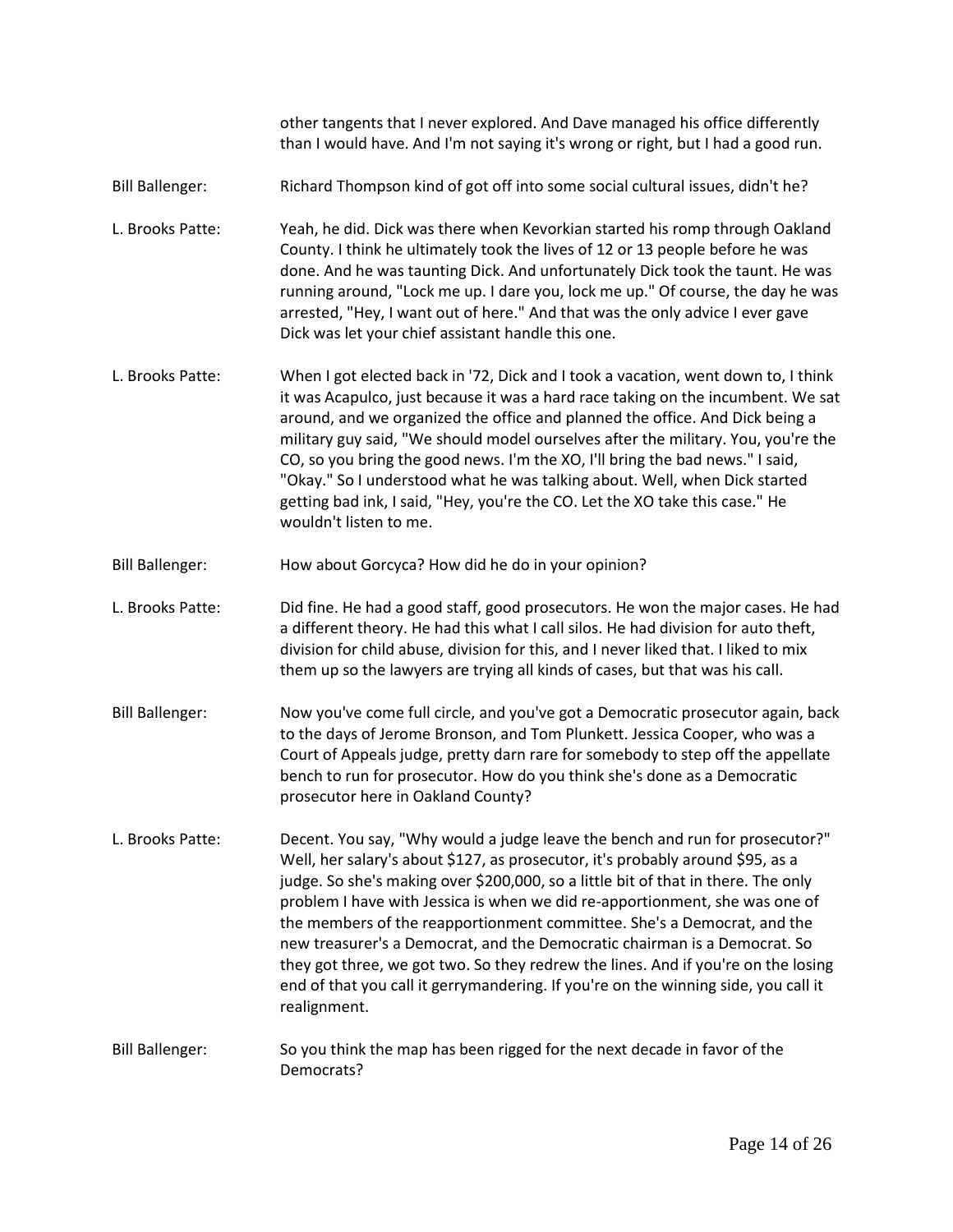other tangents that I never explored. And Dave managed his office differently than I would have. And I'm not saying it's wrong or right, but I had a good run.

- Bill Ballenger: Richard Thompson kind of got off into some social cultural issues, didn't he?
- L. Brooks Patte: Yeah, he did. Dick was there when Kevorkian started his romp through Oakland County. I think he ultimately took the lives of 12 or 13 people before he was done. And he was taunting Dick. And unfortunately Dick took the taunt. He was running around, "Lock me up. I dare you, lock me up." Of course, the day he was arrested, "Hey, I want out of here." And that was the only advice I ever gave Dick was let your chief assistant handle this one.
- L. Brooks Patte: When I got elected back in '72, Dick and I took a vacation, went down to, I think it was Acapulco, just because it was a hard race taking on the incumbent. We sat around, and we organized the office and planned the office. And Dick being a military guy said, "We should model ourselves after the military. You, you're the CO, so you bring the good news. I'm the XO, I'll bring the bad news." I said, "Okay." So I understood what he was talking about. Well, when Dick started getting bad ink, I said, "Hey, you're the CO. Let the XO take this case." He wouldn't listen to me.
- Bill Ballenger: How about Gorcyca? How did he do in your opinion?
- L. Brooks Patte: Did fine. He had a good staff, good prosecutors. He won the major cases. He had a different theory. He had this what I call silos. He had division for auto theft, division for child abuse, division for this, and I never liked that. I liked to mix them up so the lawyers are trying all kinds of cases, but that was his call.
- Bill Ballenger: Now you've come full circle, and you've got a Democratic prosecutor again, back to the days of Jerome Bronson, and Tom Plunkett. Jessica Cooper, who was a Court of Appeals judge, pretty darn rare for somebody to step off the appellate bench to run for prosecutor. How do you think she's done as a Democratic prosecutor here in Oakland County?
- L. Brooks Patte: Decent. You say, "Why would a judge leave the bench and run for prosecutor?" Well, her salary's about \$127, as prosecutor, it's probably around \$95, as a judge. So she's making over \$200,000, so a little bit of that in there. The only problem I have with Jessica is when we did re-apportionment, she was one of the members of the reapportionment committee. She's a Democrat, and the new treasurer's a Democrat, and the Democratic chairman is a Democrat. So they got three, we got two. So they redrew the lines. And if you're on the losing end of that you call it gerrymandering. If you're on the winning side, you call it realignment.
- Bill Ballenger: So you think the map has been rigged for the next decade in favor of the Democrats?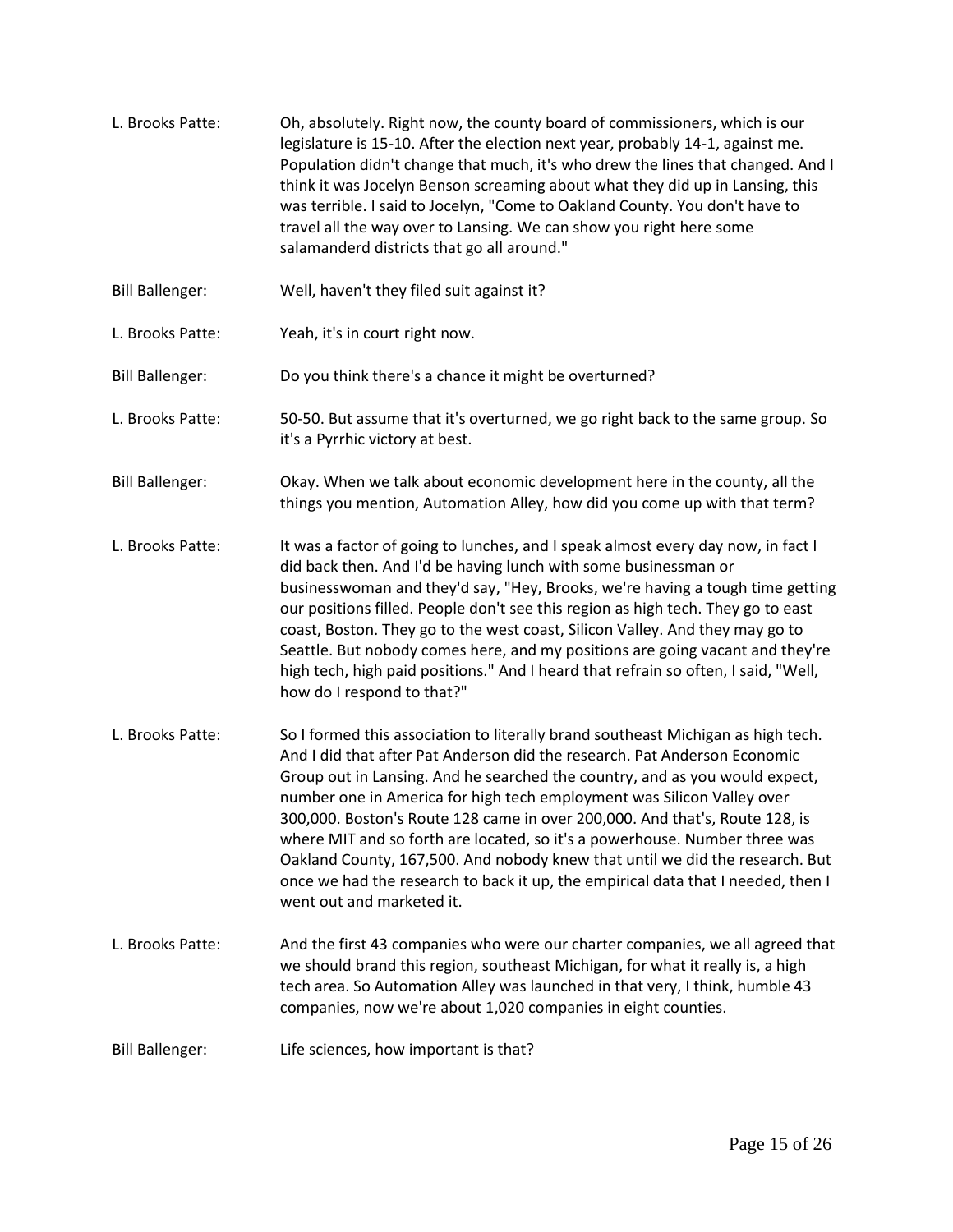L. Brooks Patte: Oh, absolutely. Right now, the county board of commissioners, which is our legislature is 15-10. After the election next year, probably 14-1, against me. Population didn't change that much, it's who drew the lines that changed. And I think it was Jocelyn Benson screaming about what they did up in Lansing, this was terrible. I said to Jocelyn, "Come to Oakland County. You don't have to travel all the way over to Lansing. We can show you right here some salamanderd districts that go all around." Bill Ballenger: Well, haven't they filed suit against it? L. Brooks Patte: Yeah, it's in court right now. Bill Ballenger: Do you think there's a chance it might be overturned? L. Brooks Patte: 50-50. But assume that it's overturned, we go right back to the same group. So it's a Pyrrhic victory at best. Bill Ballenger: Okay. When we talk about economic development here in the county, all the things you mention, Automation Alley, how did you come up with that term? L. Brooks Patte: It was a factor of going to lunches, and I speak almost every day now, in fact I did back then. And I'd be having lunch with some businessman or businesswoman and they'd say, "Hey, Brooks, we're having a tough time getting our positions filled. People don't see this region as high tech. They go to east coast, Boston. They go to the west coast, Silicon Valley. And they may go to Seattle. But nobody comes here, and my positions are going vacant and they're high tech, high paid positions." And I heard that refrain so often, I said, "Well, how do I respond to that?" L. Brooks Patte: So I formed this association to literally brand southeast Michigan as high tech. And I did that after Pat Anderson did the research. Pat Anderson Economic Group out in Lansing. And he searched the country, and as you would expect, number one in America for high tech employment was Silicon Valley over 300,000. Boston's Route 128 came in over 200,000. And that's, Route 128, is where MIT and so forth are located, so it's a powerhouse. Number three was Oakland County, 167,500. And nobody knew that until we did the research. But once we had the research to back it up, the empirical data that I needed, then I went out and marketed it. L. Brooks Patte: And the first 43 companies who were our charter companies, we all agreed that we should brand this region, southeast Michigan, for what it really is, a high tech area. So Automation Alley was launched in that very, I think, humble 43 companies, now we're about 1,020 companies in eight counties. Bill Ballenger: Life sciences, how important is that?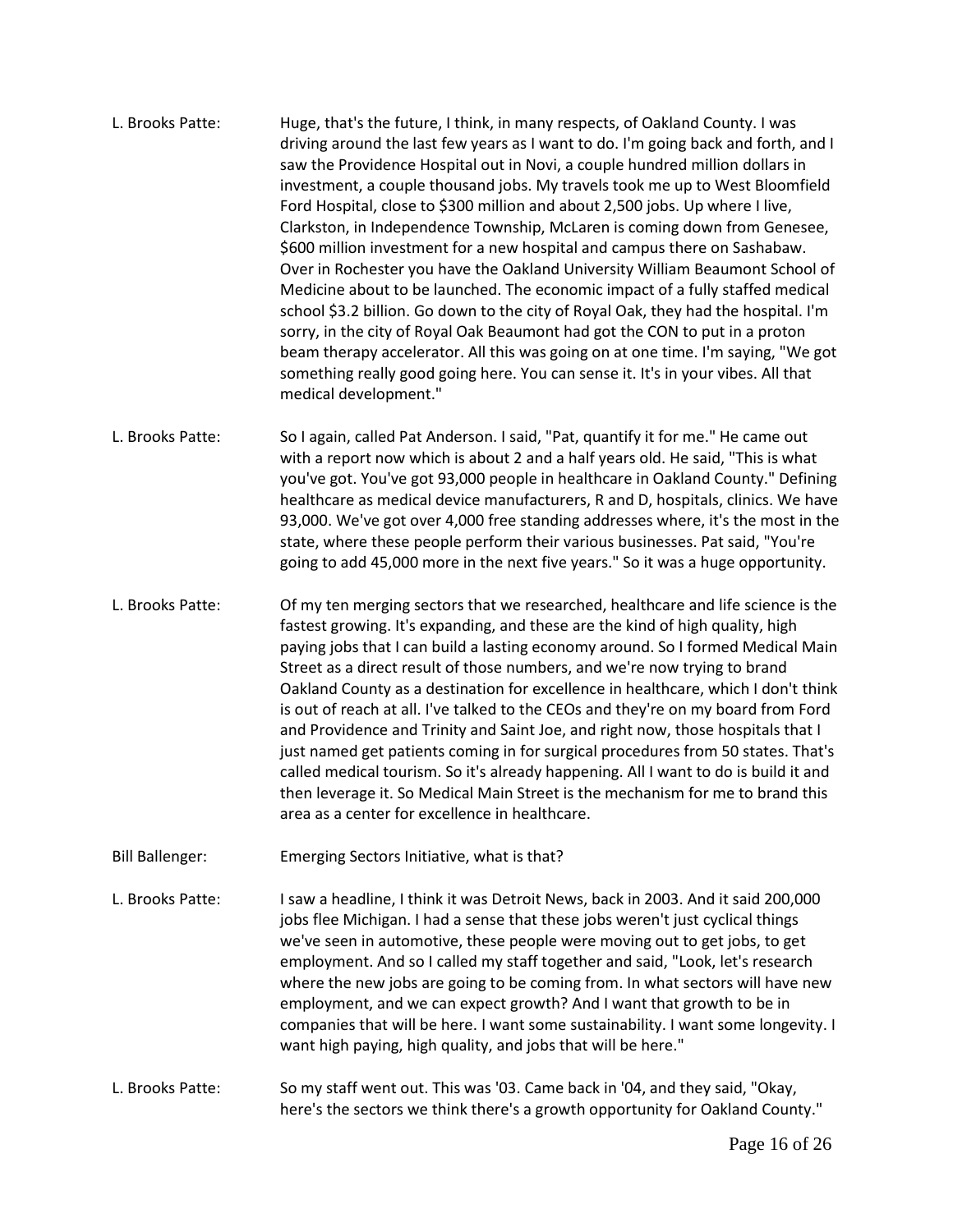- L. Brooks Patte: Huge, that's the future, I think, in many respects, of Oakland County. I was driving around the last few years as I want to do. I'm going back and forth, and I saw the Providence Hospital out in Novi, a couple hundred million dollars in investment, a couple thousand jobs. My travels took me up to West Bloomfield Ford Hospital, close to \$300 million and about 2,500 jobs. Up where I live, Clarkston, in Independence Township, McLaren is coming down from Genesee, \$600 million investment for a new hospital and campus there on Sashabaw. Over in Rochester you have the Oakland University William Beaumont School of Medicine about to be launched. The economic impact of a fully staffed medical school \$3.2 billion. Go down to the city of Royal Oak, they had the hospital. I'm sorry, in the city of Royal Oak Beaumont had got the CON to put in a proton beam therapy accelerator. All this was going on at one time. I'm saying, "We got something really good going here. You can sense it. It's in your vibes. All that medical development."
- L. Brooks Patte: So I again, called Pat Anderson. I said, "Pat, quantify it for me." He came out with a report now which is about 2 and a half years old. He said, "This is what you've got. You've got 93,000 people in healthcare in Oakland County." Defining healthcare as medical device manufacturers, R and D, hospitals, clinics. We have 93,000. We've got over 4,000 free standing addresses where, it's the most in the state, where these people perform their various businesses. Pat said, "You're going to add 45,000 more in the next five years." So it was a huge opportunity.
- L. Brooks Patte: Of my ten merging sectors that we researched, healthcare and life science is the fastest growing. It's expanding, and these are the kind of high quality, high paying jobs that I can build a lasting economy around. So I formed Medical Main Street as a direct result of those numbers, and we're now trying to brand Oakland County as a destination for excellence in healthcare, which I don't think is out of reach at all. I've talked to the CEOs and they're on my board from Ford and Providence and Trinity and Saint Joe, and right now, those hospitals that I just named get patients coming in for surgical procedures from 50 states. That's called medical tourism. So it's already happening. All I want to do is build it and then leverage it. So Medical Main Street is the mechanism for me to brand this area as a center for excellence in healthcare.
- Bill Ballenger: Emerging Sectors Initiative, what is that?
- L. Brooks Patte: I saw a headline, I think it was Detroit News, back in 2003. And it said 200,000 jobs flee Michigan. I had a sense that these jobs weren't just cyclical things we've seen in automotive, these people were moving out to get jobs, to get employment. And so I called my staff together and said, "Look, let's research where the new jobs are going to be coming from. In what sectors will have new employment, and we can expect growth? And I want that growth to be in companies that will be here. I want some sustainability. I want some longevity. I want high paying, high quality, and jobs that will be here."
- L. Brooks Patte: So my staff went out. This was '03. Came back in '04, and they said, "Okay, here's the sectors we think there's a growth opportunity for Oakland County."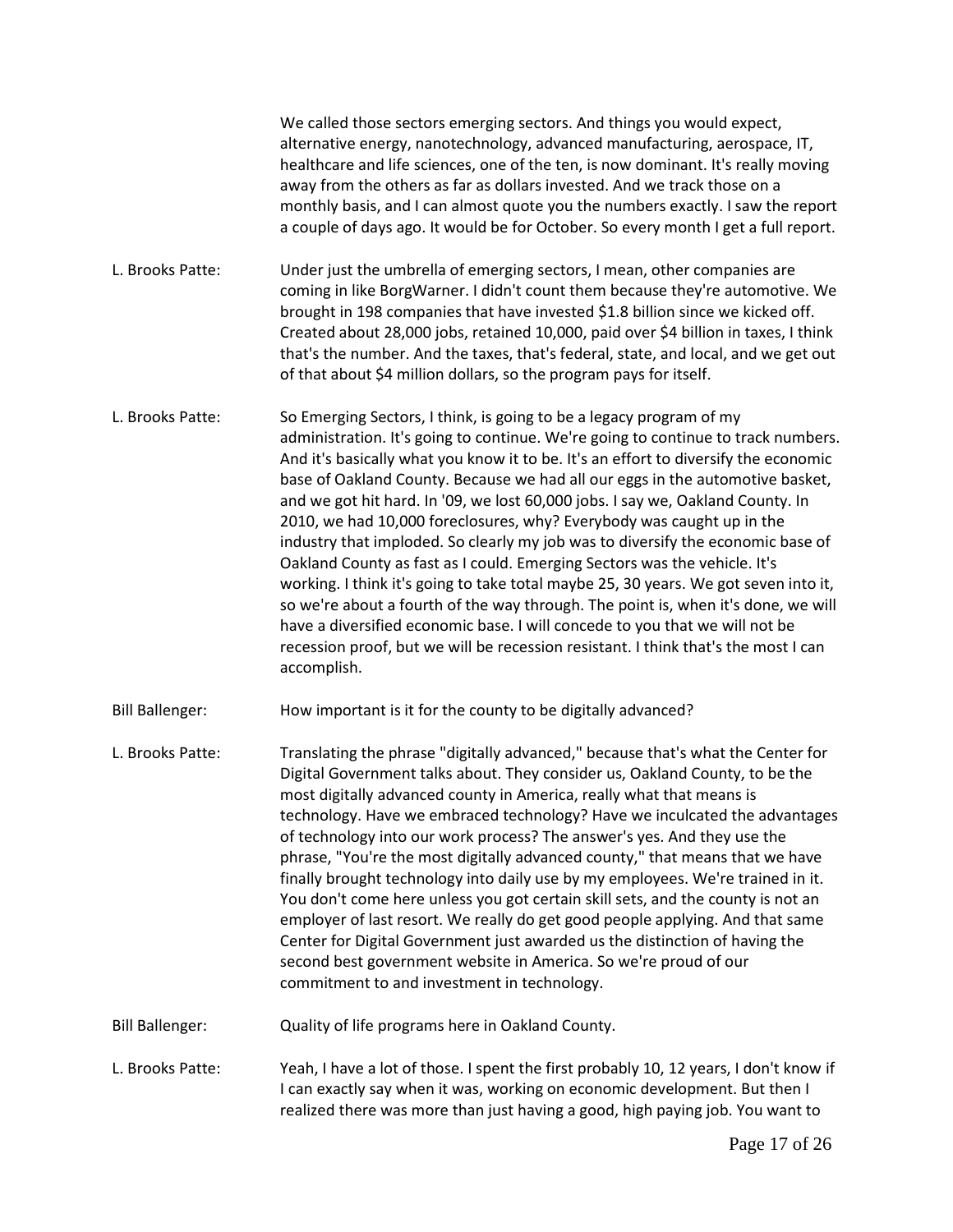|                        | We called those sectors emerging sectors. And things you would expect,<br>alternative energy, nanotechnology, advanced manufacturing, aerospace, IT,<br>healthcare and life sciences, one of the ten, is now dominant. It's really moving<br>away from the others as far as dollars invested. And we track those on a<br>monthly basis, and I can almost quote you the numbers exactly. I saw the report<br>a couple of days ago. It would be for October. So every month I get a full report.                                                                                                                                                                                                                                                                                                                                                                                                                                                                                                                              |
|------------------------|-----------------------------------------------------------------------------------------------------------------------------------------------------------------------------------------------------------------------------------------------------------------------------------------------------------------------------------------------------------------------------------------------------------------------------------------------------------------------------------------------------------------------------------------------------------------------------------------------------------------------------------------------------------------------------------------------------------------------------------------------------------------------------------------------------------------------------------------------------------------------------------------------------------------------------------------------------------------------------------------------------------------------------|
| L. Brooks Patte:       | Under just the umbrella of emerging sectors, I mean, other companies are<br>coming in like BorgWarner. I didn't count them because they're automotive. We<br>brought in 198 companies that have invested \$1.8 billion since we kicked off.<br>Created about 28,000 jobs, retained 10,000, paid over \$4 billion in taxes, I think<br>that's the number. And the taxes, that's federal, state, and local, and we get out<br>of that about \$4 million dollars, so the program pays for itself.                                                                                                                                                                                                                                                                                                                                                                                                                                                                                                                              |
| L. Brooks Patte:       | So Emerging Sectors, I think, is going to be a legacy program of my<br>administration. It's going to continue. We're going to continue to track numbers.<br>And it's basically what you know it to be. It's an effort to diversify the economic<br>base of Oakland County. Because we had all our eggs in the automotive basket,<br>and we got hit hard. In '09, we lost 60,000 jobs. I say we, Oakland County. In<br>2010, we had 10,000 foreclosures, why? Everybody was caught up in the<br>industry that imploded. So clearly my job was to diversify the economic base of<br>Oakland County as fast as I could. Emerging Sectors was the vehicle. It's<br>working. I think it's going to take total maybe 25, 30 years. We got seven into it,<br>so we're about a fourth of the way through. The point is, when it's done, we will<br>have a diversified economic base. I will concede to you that we will not be<br>recession proof, but we will be recession resistant. I think that's the most I can<br>accomplish. |
| <b>Bill Ballenger:</b> | How important is it for the county to be digitally advanced?                                                                                                                                                                                                                                                                                                                                                                                                                                                                                                                                                                                                                                                                                                                                                                                                                                                                                                                                                                |
| L. Brooks Patte:       | Translating the phrase "digitally advanced," because that's what the Center for<br>Digital Government talks about. They consider us, Oakland County, to be the<br>most digitally advanced county in America, really what that means is<br>technology. Have we embraced technology? Have we inculcated the advantages<br>of technology into our work process? The answer's yes. And they use the<br>phrase, "You're the most digitally advanced county," that means that we have<br>finally brought technology into daily use by my employees. We're trained in it.<br>You don't come here unless you got certain skill sets, and the county is not an<br>employer of last resort. We really do get good people applying. And that same<br>Center for Digital Government just awarded us the distinction of having the<br>second best government website in America. So we're proud of our<br>commitment to and investment in technology.                                                                                    |
| <b>Bill Ballenger:</b> | Quality of life programs here in Oakland County.                                                                                                                                                                                                                                                                                                                                                                                                                                                                                                                                                                                                                                                                                                                                                                                                                                                                                                                                                                            |
| L. Brooks Patte:       | Yeah, I have a lot of those. I spent the first probably 10, 12 years, I don't know if<br>I can exactly say when it was, working on economic development. But then I<br>realized there was more than just having a good, high paying job. You want to                                                                                                                                                                                                                                                                                                                                                                                                                                                                                                                                                                                                                                                                                                                                                                        |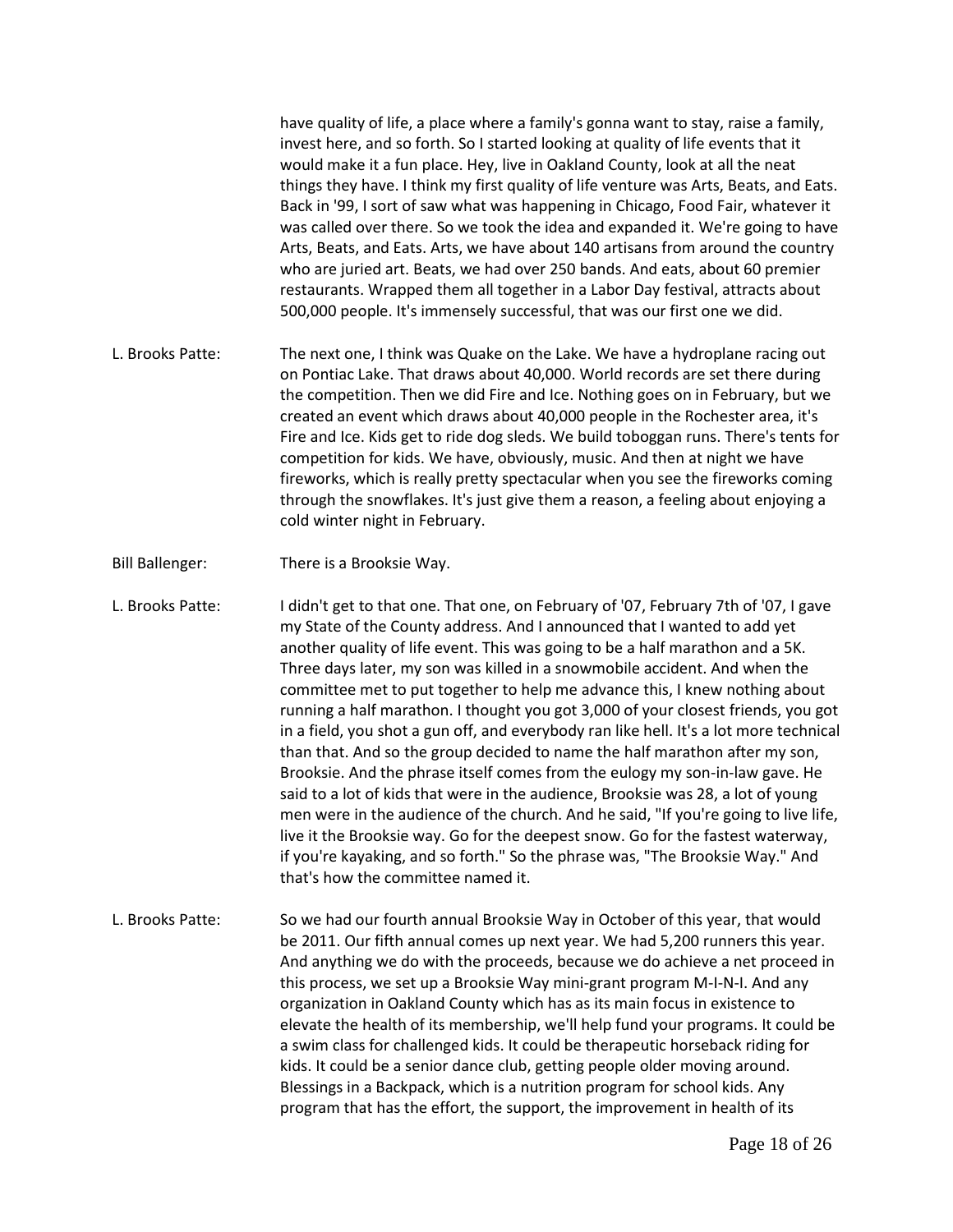have quality of life, a place where a family's gonna want to stay, raise a family, invest here, and so forth. So I started looking at quality of life events that it would make it a fun place. Hey, live in Oakland County, look at all the neat things they have. I think my first quality of life venture was Arts, Beats, and Eats. Back in '99, I sort of saw what was happening in Chicago, Food Fair, whatever it was called over there. So we took the idea and expanded it. We're going to have Arts, Beats, and Eats. Arts, we have about 140 artisans from around the country who are juried art. Beats, we had over 250 bands. And eats, about 60 premier restaurants. Wrapped them all together in a Labor Day festival, attracts about 500,000 people. It's immensely successful, that was our first one we did.

- L. Brooks Patte: The next one, I think was Quake on the Lake. We have a hydroplane racing out on Pontiac Lake. That draws about 40,000. World records are set there during the competition. Then we did Fire and Ice. Nothing goes on in February, but we created an event which draws about 40,000 people in the Rochester area, it's Fire and Ice. Kids get to ride dog sleds. We build toboggan runs. There's tents for competition for kids. We have, obviously, music. And then at night we have fireworks, which is really pretty spectacular when you see the fireworks coming through the snowflakes. It's just give them a reason, a feeling about enjoying a cold winter night in February.
- Bill Ballenger: There is a Brooksie Way.

L. Brooks Patte: I didn't get to that one. That one, on February of '07, February 7th of '07, I gave my State of the County address. And I announced that I wanted to add yet another quality of life event. This was going to be a half marathon and a 5K. Three days later, my son was killed in a snowmobile accident. And when the committee met to put together to help me advance this, I knew nothing about running a half marathon. I thought you got 3,000 of your closest friends, you got in a field, you shot a gun off, and everybody ran like hell. It's a lot more technical than that. And so the group decided to name the half marathon after my son, Brooksie. And the phrase itself comes from the eulogy my son-in-law gave. He said to a lot of kids that were in the audience, Brooksie was 28, a lot of young men were in the audience of the church. And he said, "If you're going to live life, live it the Brooksie way. Go for the deepest snow. Go for the fastest waterway, if you're kayaking, and so forth." So the phrase was, "The Brooksie Way." And that's how the committee named it.

L. Brooks Patte: So we had our fourth annual Brooksie Way in October of this year, that would be 2011. Our fifth annual comes up next year. We had 5,200 runners this year. And anything we do with the proceeds, because we do achieve a net proceed in this process, we set up a Brooksie Way mini-grant program M-I-N-I. And any organization in Oakland County which has as its main focus in existence to elevate the health of its membership, we'll help fund your programs. It could be a swim class for challenged kids. It could be therapeutic horseback riding for kids. It could be a senior dance club, getting people older moving around. Blessings in a Backpack, which is a nutrition program for school kids. Any program that has the effort, the support, the improvement in health of its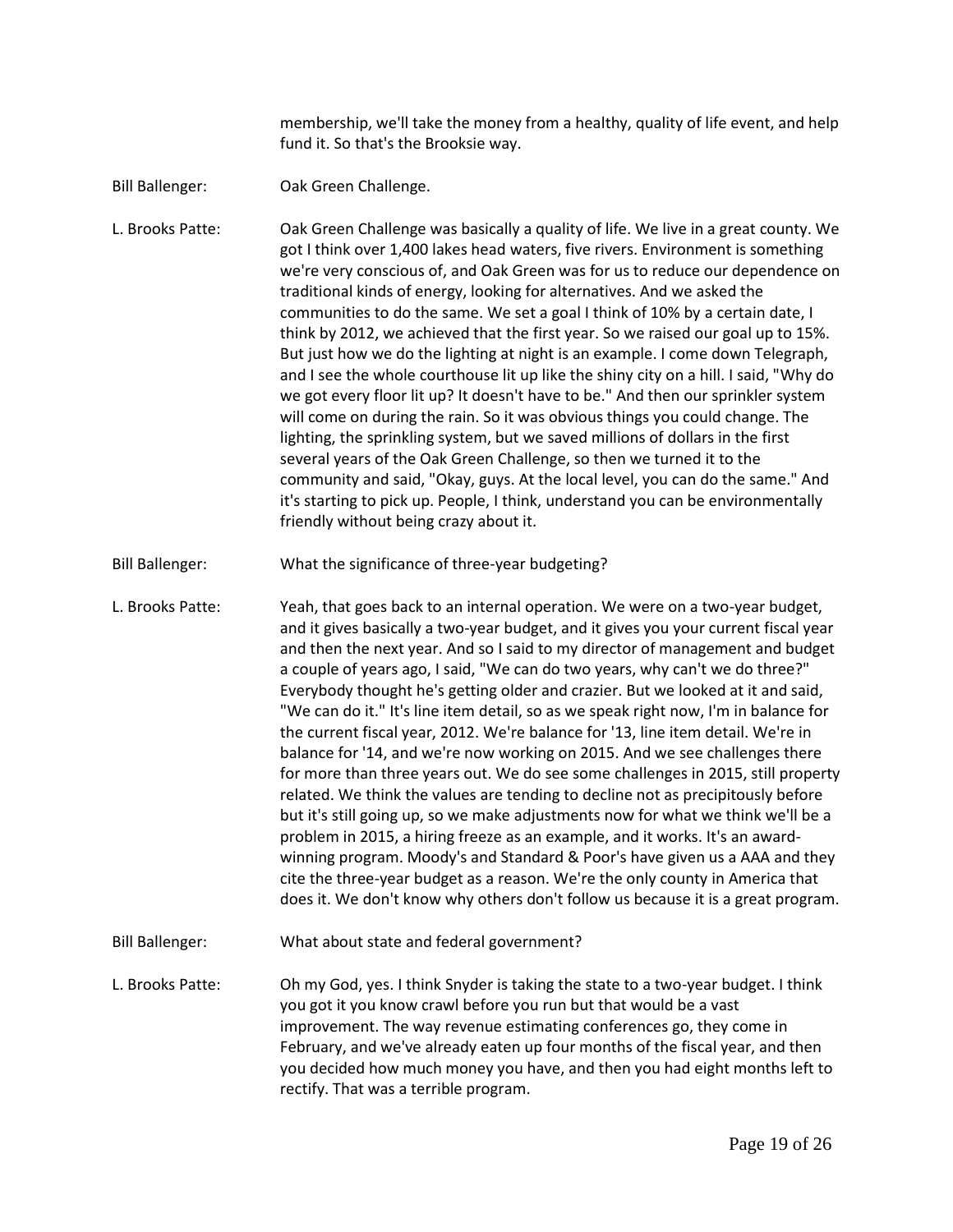membership, we'll take the money from a healthy, quality of life event, and help fund it. So that's the Brooksie way.

Bill Ballenger: Oak Green Challenge.

L. Brooks Patte: Oak Green Challenge was basically a quality of life. We live in a great county. We got I think over 1,400 lakes head waters, five rivers. Environment is something we're very conscious of, and Oak Green was for us to reduce our dependence on traditional kinds of energy, looking for alternatives. And we asked the communities to do the same. We set a goal I think of 10% by a certain date, I think by 2012, we achieved that the first year. So we raised our goal up to 15%. But just how we do the lighting at night is an example. I come down Telegraph, and I see the whole courthouse lit up like the shiny city on a hill. I said, "Why do we got every floor lit up? It doesn't have to be." And then our sprinkler system will come on during the rain. So it was obvious things you could change. The lighting, the sprinkling system, but we saved millions of dollars in the first several years of the Oak Green Challenge, so then we turned it to the community and said, "Okay, guys. At the local level, you can do the same." And it's starting to pick up. People, I think, understand you can be environmentally friendly without being crazy about it.

Bill Ballenger: What the significance of three-year budgeting?

L. Brooks Patte: Yeah, that goes back to an internal operation. We were on a two-year budget, and it gives basically a two-year budget, and it gives you your current fiscal year and then the next year. And so I said to my director of management and budget a couple of years ago, I said, "We can do two years, why can't we do three?" Everybody thought he's getting older and crazier. But we looked at it and said, "We can do it." It's line item detail, so as we speak right now, I'm in balance for the current fiscal year, 2012. We're balance for '13, line item detail. We're in balance for '14, and we're now working on 2015. And we see challenges there for more than three years out. We do see some challenges in 2015, still property related. We think the values are tending to decline not as precipitously before but it's still going up, so we make adjustments now for what we think we'll be a problem in 2015, a hiring freeze as an example, and it works. It's an awardwinning program. Moody's and Standard & Poor's have given us a AAA and they cite the three-year budget as a reason. We're the only county in America that does it. We don't know why others don't follow us because it is a great program.

Bill Ballenger: What about state and federal government?

L. Brooks Patte: Oh my God, yes. I think Snyder is taking the state to a two-year budget. I think you got it you know crawl before you run but that would be a vast improvement. The way revenue estimating conferences go, they come in February, and we've already eaten up four months of the fiscal year, and then you decided how much money you have, and then you had eight months left to rectify. That was a terrible program.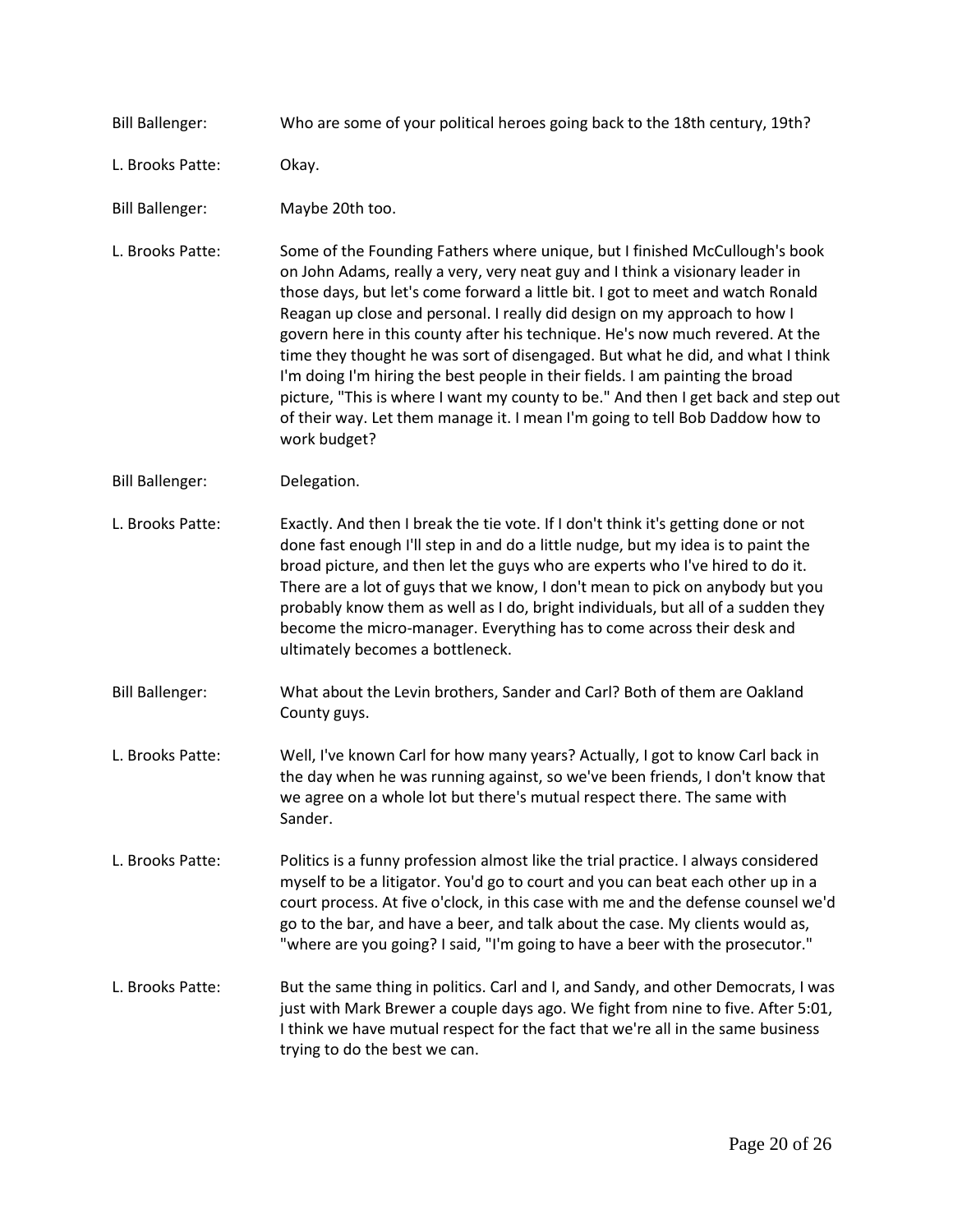Bill Ballenger: Who are some of your political heroes going back to the 18th century, 19th? L. Brooks Patte: Okay. Bill Ballenger: Maybe 20th too. L. Brooks Patte: Some of the Founding Fathers where unique, but I finished McCullough's book on John Adams, really a very, very neat guy and I think a visionary leader in those days, but let's come forward a little bit. I got to meet and watch Ronald Reagan up close and personal. I really did design on my approach to how I govern here in this county after his technique. He's now much revered. At the time they thought he was sort of disengaged. But what he did, and what I think I'm doing I'm hiring the best people in their fields. I am painting the broad picture, "This is where I want my county to be." And then I get back and step out of their way. Let them manage it. I mean I'm going to tell Bob Daddow how to work budget? Bill Ballenger: Delegation. L. Brooks Patte: Exactly. And then I break the tie vote. If I don't think it's getting done or not done fast enough I'll step in and do a little nudge, but my idea is to paint the broad picture, and then let the guys who are experts who I've hired to do it. There are a lot of guys that we know, I don't mean to pick on anybody but you probably know them as well as I do, bright individuals, but all of a sudden they become the micro-manager. Everything has to come across their desk and ultimately becomes a bottleneck. Bill Ballenger: What about the Levin brothers, Sander and Carl? Both of them are Oakland County guys. L. Brooks Patte: Well, I've known Carl for how many years? Actually, I got to know Carl back in the day when he was running against, so we've been friends, I don't know that we agree on a whole lot but there's mutual respect there. The same with Sander. L. Brooks Patte: Politics is a funny profession almost like the trial practice. I always considered myself to be a litigator. You'd go to court and you can beat each other up in a court process. At five o'clock, in this case with me and the defense counsel we'd go to the bar, and have a beer, and talk about the case. My clients would as, "where are you going? I said, "I'm going to have a beer with the prosecutor." L. Brooks Patte: But the same thing in politics. Carl and I, and Sandy, and other Democrats, I was just with Mark Brewer a couple days ago. We fight from nine to five. After 5:01, I think we have mutual respect for the fact that we're all in the same business trying to do the best we can.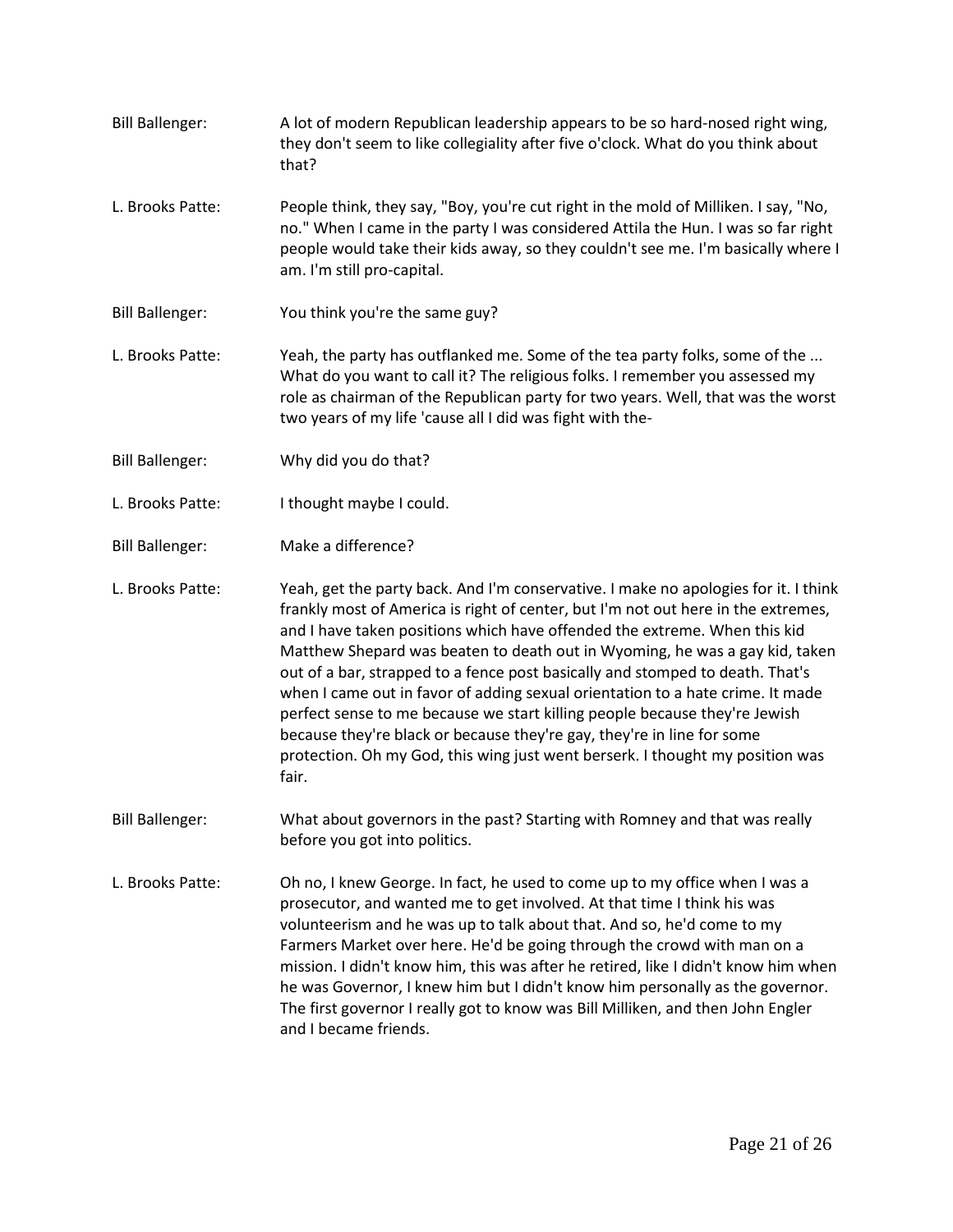- Bill Ballenger: A lot of modern Republican leadership appears to be so hard-nosed right wing, they don't seem to like collegiality after five o'clock. What do you think about that?
- L. Brooks Patte: People think, they say, "Boy, you're cut right in the mold of Milliken. I say, "No, no." When I came in the party I was considered Attila the Hun. I was so far right people would take their kids away, so they couldn't see me. I'm basically where I am. I'm still pro-capital.
- Bill Ballenger: You think you're the same guy?
- L. Brooks Patte: Yeah, the party has outflanked me. Some of the tea party folks, some of the ... What do you want to call it? The religious folks. I remember you assessed my role as chairman of the Republican party for two years. Well, that was the worst two years of my life 'cause all I did was fight with the-
- Bill Ballenger: Why did you do that?
- L. Brooks Patte: I thought maybe I could.
- Bill Ballenger: Make a difference?

L. Brooks Patte: Yeah, get the party back. And I'm conservative. I make no apologies for it. I think frankly most of America is right of center, but I'm not out here in the extremes, and I have taken positions which have offended the extreme. When this kid Matthew Shepard was beaten to death out in Wyoming, he was a gay kid, taken out of a bar, strapped to a fence post basically and stomped to death. That's when I came out in favor of adding sexual orientation to a hate crime. It made perfect sense to me because we start killing people because they're Jewish because they're black or because they're gay, they're in line for some protection. Oh my God, this wing just went berserk. I thought my position was fair.

- Bill Ballenger: What about governors in the past? Starting with Romney and that was really before you got into politics.
- L. Brooks Patte: Oh no, I knew George. In fact, he used to come up to my office when I was a prosecutor, and wanted me to get involved. At that time I think his was volunteerism and he was up to talk about that. And so, he'd come to my Farmers Market over here. He'd be going through the crowd with man on a mission. I didn't know him, this was after he retired, like I didn't know him when he was Governor, I knew him but I didn't know him personally as the governor. The first governor I really got to know was Bill Milliken, and then John Engler and I became friends.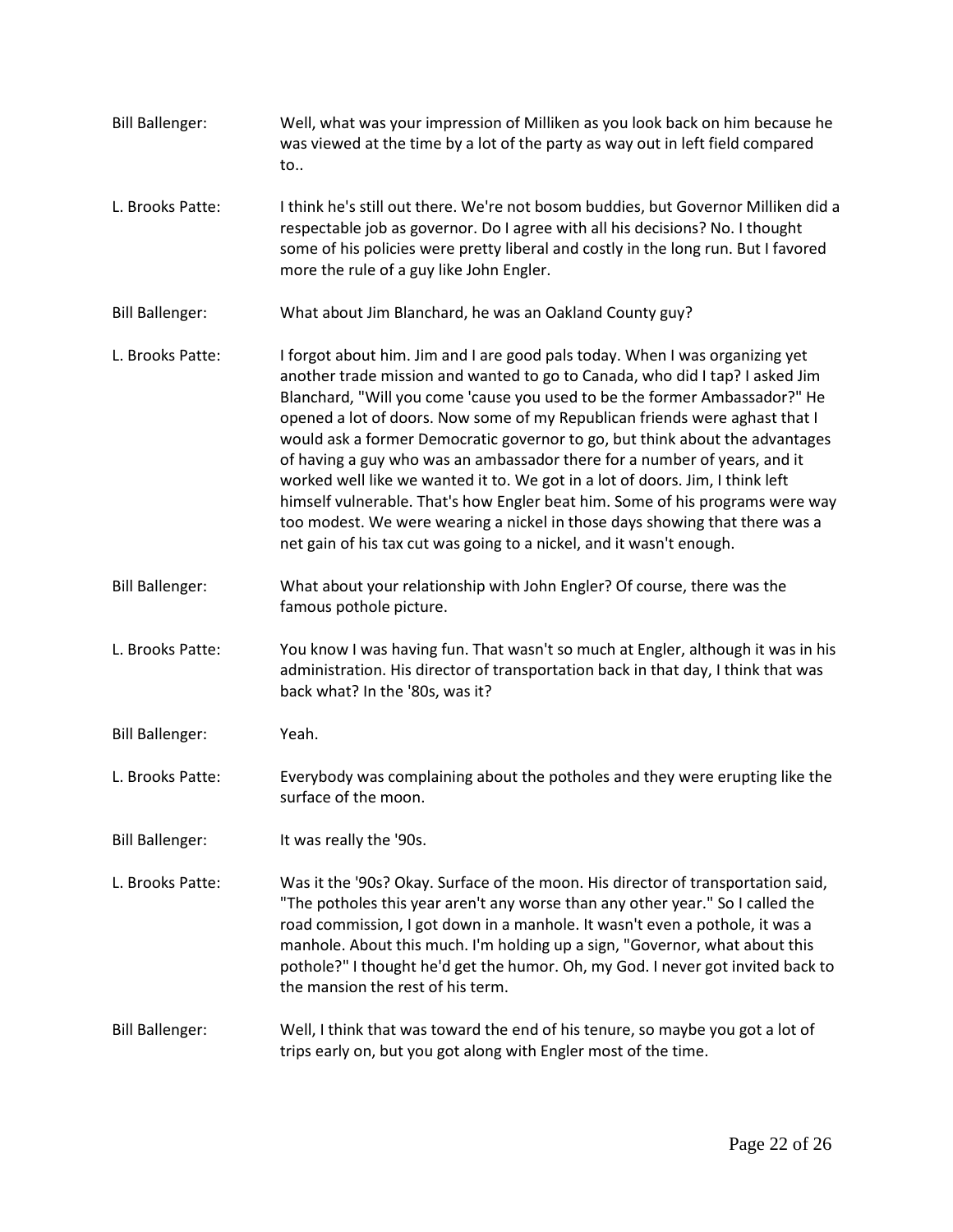- Bill Ballenger: Well, what was your impression of Milliken as you look back on him because he was viewed at the time by a lot of the party as way out in left field compared to..
- L. Brooks Patte: I think he's still out there. We're not bosom buddies, but Governor Milliken did a respectable job as governor. Do I agree with all his decisions? No. I thought some of his policies were pretty liberal and costly in the long run. But I favored more the rule of a guy like John Engler.
- Bill Ballenger: What about Jim Blanchard, he was an Oakland County guy?
- L. Brooks Patte: I forgot about him. Jim and I are good pals today. When I was organizing yet another trade mission and wanted to go to Canada, who did I tap? I asked Jim Blanchard, "Will you come 'cause you used to be the former Ambassador?" He opened a lot of doors. Now some of my Republican friends were aghast that I would ask a former Democratic governor to go, but think about the advantages of having a guy who was an ambassador there for a number of years, and it worked well like we wanted it to. We got in a lot of doors. Jim, I think left himself vulnerable. That's how Engler beat him. Some of his programs were way too modest. We were wearing a nickel in those days showing that there was a net gain of his tax cut was going to a nickel, and it wasn't enough.
- Bill Ballenger: What about your relationship with John Engler? Of course, there was the famous pothole picture.
- L. Brooks Patte: You know I was having fun. That wasn't so much at Engler, although it was in his administration. His director of transportation back in that day, I think that was back what? In the '80s, was it?
- Bill Ballenger: Yeah.
- L. Brooks Patte: Everybody was complaining about the potholes and they were erupting like the surface of the moon.
- Bill Ballenger: It was really the '90s.
- L. Brooks Patte: Was it the '90s? Okay. Surface of the moon. His director of transportation said, "The potholes this year aren't any worse than any other year." So I called the road commission, I got down in a manhole. It wasn't even a pothole, it was a manhole. About this much. I'm holding up a sign, "Governor, what about this pothole?" I thought he'd get the humor. Oh, my God. I never got invited back to the mansion the rest of his term.
- Bill Ballenger: Well, I think that was toward the end of his tenure, so maybe you got a lot of trips early on, but you got along with Engler most of the time.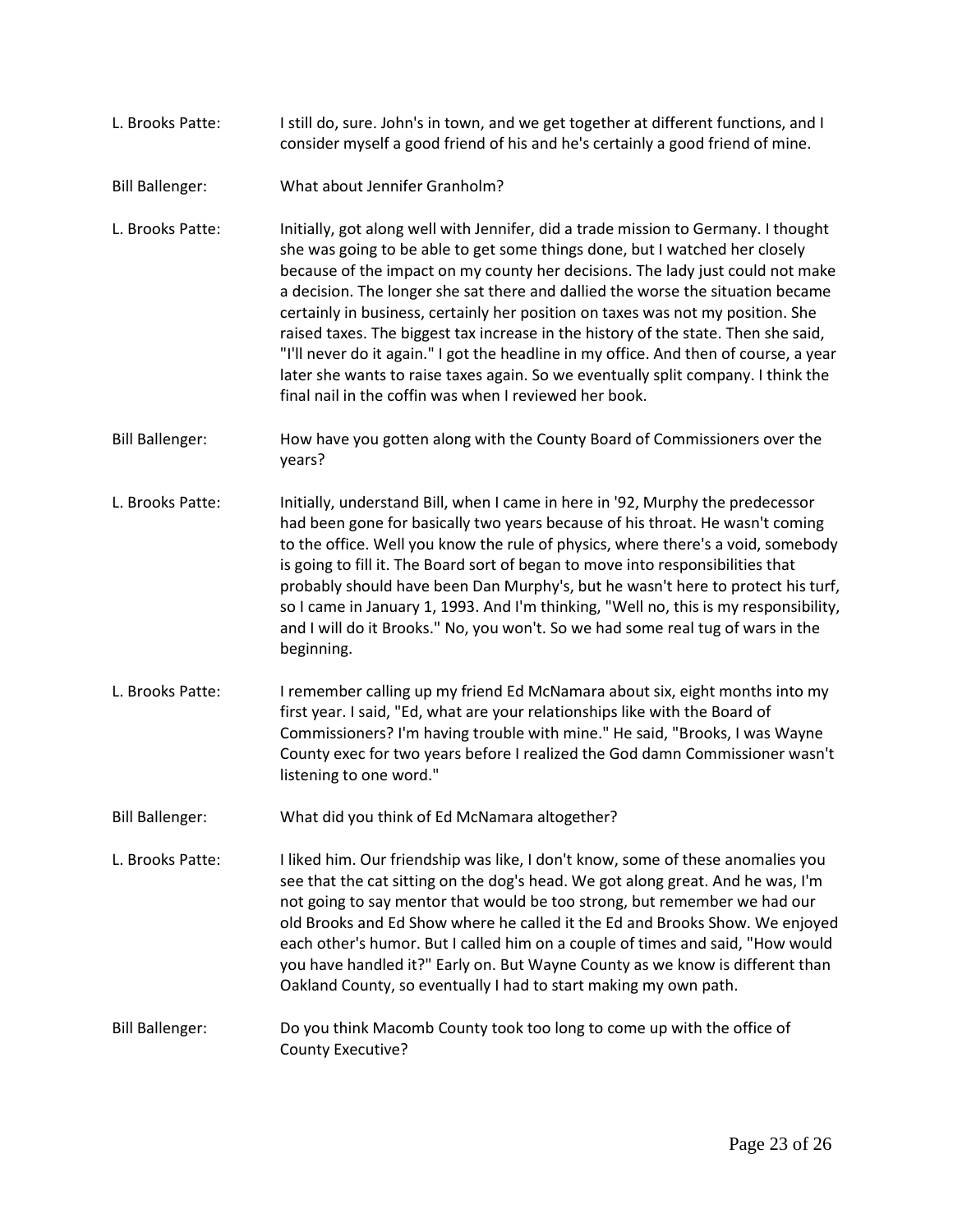| L. Brooks Patte: | I still do, sure. John's in town, and we get together at different functions, and I |  |
|------------------|-------------------------------------------------------------------------------------|--|
|                  | consider myself a good friend of his and he's certainly a good friend of mine.      |  |

Bill Ballenger: What about Jennifer Granholm?

L. Brooks Patte: Initially, got along well with Jennifer, did a trade mission to Germany. I thought she was going to be able to get some things done, but I watched her closely because of the impact on my county her decisions. The lady just could not make a decision. The longer she sat there and dallied the worse the situation became certainly in business, certainly her position on taxes was not my position. She raised taxes. The biggest tax increase in the history of the state. Then she said, "I'll never do it again." I got the headline in my office. And then of course, a year later she wants to raise taxes again. So we eventually split company. I think the final nail in the coffin was when I reviewed her book.

- Bill Ballenger: How have you gotten along with the County Board of Commissioners over the years?
- L. Brooks Patte: Initially, understand Bill, when I came in here in '92, Murphy the predecessor had been gone for basically two years because of his throat. He wasn't coming to the office. Well you know the rule of physics, where there's a void, somebody is going to fill it. The Board sort of began to move into responsibilities that probably should have been Dan Murphy's, but he wasn't here to protect his turf, so I came in January 1, 1993. And I'm thinking, "Well no, this is my responsibility, and I will do it Brooks." No, you won't. So we had some real tug of wars in the beginning.
- L. Brooks Patte: I remember calling up my friend Ed McNamara about six, eight months into my first year. I said, "Ed, what are your relationships like with the Board of Commissioners? I'm having trouble with mine." He said, "Brooks, I was Wayne County exec for two years before I realized the God damn Commissioner wasn't listening to one word."
- Bill Ballenger: What did you think of Ed McNamara altogether?
- L. Brooks Patte: I liked him. Our friendship was like, I don't know, some of these anomalies you see that the cat sitting on the dog's head. We got along great. And he was, I'm not going to say mentor that would be too strong, but remember we had our old Brooks and Ed Show where he called it the Ed and Brooks Show. We enjoyed each other's humor. But I called him on a couple of times and said, "How would you have handled it?" Early on. But Wayne County as we know is different than Oakland County, so eventually I had to start making my own path.
- Bill Ballenger: Do you think Macomb County took too long to come up with the office of County Executive?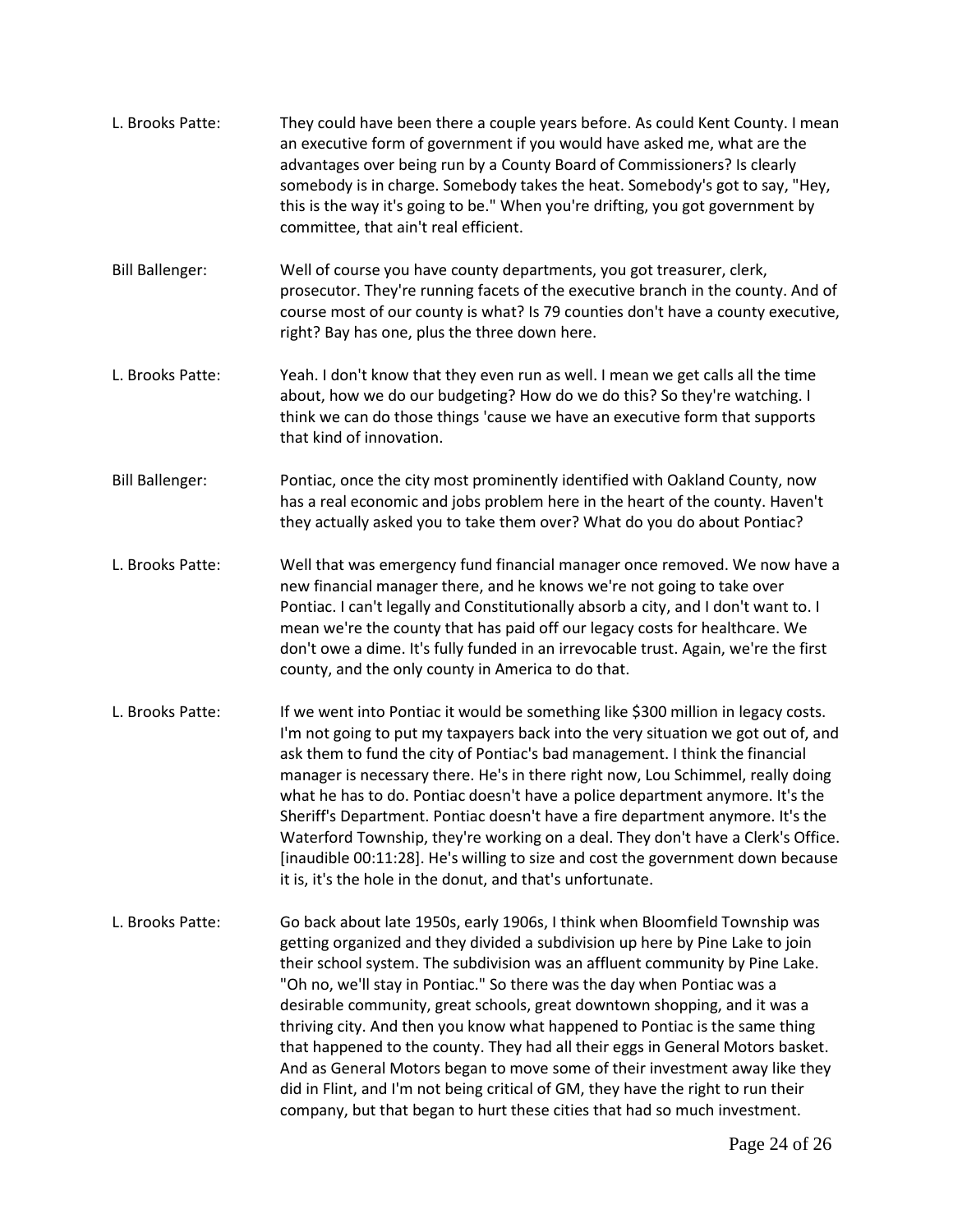| L. Brooks Patte:       | They could have been there a couple years before. As could Kent County. I mean<br>an executive form of government if you would have asked me, what are the<br>advantages over being run by a County Board of Commissioners? Is clearly<br>somebody is in charge. Somebody takes the heat. Somebody's got to say, "Hey,<br>this is the way it's going to be." When you're drifting, you got government by<br>committee, that ain't real efficient.                                                                                                                                                                                                                                                                                                                                                                     |
|------------------------|-----------------------------------------------------------------------------------------------------------------------------------------------------------------------------------------------------------------------------------------------------------------------------------------------------------------------------------------------------------------------------------------------------------------------------------------------------------------------------------------------------------------------------------------------------------------------------------------------------------------------------------------------------------------------------------------------------------------------------------------------------------------------------------------------------------------------|
| <b>Bill Ballenger:</b> | Well of course you have county departments, you got treasurer, clerk,<br>prosecutor. They're running facets of the executive branch in the county. And of<br>course most of our county is what? Is 79 counties don't have a county executive,<br>right? Bay has one, plus the three down here.                                                                                                                                                                                                                                                                                                                                                                                                                                                                                                                        |
| L. Brooks Patte:       | Yeah. I don't know that they even run as well. I mean we get calls all the time<br>about, how we do our budgeting? How do we do this? So they're watching. I<br>think we can do those things 'cause we have an executive form that supports<br>that kind of innovation.                                                                                                                                                                                                                                                                                                                                                                                                                                                                                                                                               |
| <b>Bill Ballenger:</b> | Pontiac, once the city most prominently identified with Oakland County, now<br>has a real economic and jobs problem here in the heart of the county. Haven't<br>they actually asked you to take them over? What do you do about Pontiac?                                                                                                                                                                                                                                                                                                                                                                                                                                                                                                                                                                              |
| L. Brooks Patte:       | Well that was emergency fund financial manager once removed. We now have a<br>new financial manager there, and he knows we're not going to take over<br>Pontiac. I can't legally and Constitutionally absorb a city, and I don't want to. I<br>mean we're the county that has paid off our legacy costs for healthcare. We<br>don't owe a dime. It's fully funded in an irrevocable trust. Again, we're the first<br>county, and the only county in America to do that.                                                                                                                                                                                                                                                                                                                                               |
| L. Brooks Patte:       | If we went into Pontiac it would be something like \$300 million in legacy costs.<br>I'm not going to put my taxpayers back into the very situation we got out of, and<br>ask them to fund the city of Pontiac's bad management. I think the financial<br>manager is necessary there. He's in there right now, Lou Schimmel, really doing<br>what he has to do. Pontiac doesn't have a police department anymore. It's the<br>Sheriff's Department. Pontiac doesn't have a fire department anymore. It's the<br>Waterford Township, they're working on a deal. They don't have a Clerk's Office.<br>[inaudible 00:11:28]. He's willing to size and cost the government down because<br>it is, it's the hole in the donut, and that's unfortunate.                                                                     |
| L. Brooks Patte:       | Go back about late 1950s, early 1906s, I think when Bloomfield Township was<br>getting organized and they divided a subdivision up here by Pine Lake to join<br>their school system. The subdivision was an affluent community by Pine Lake.<br>"Oh no, we'll stay in Pontiac." So there was the day when Pontiac was a<br>desirable community, great schools, great downtown shopping, and it was a<br>thriving city. And then you know what happened to Pontiac is the same thing<br>that happened to the county. They had all their eggs in General Motors basket.<br>And as General Motors began to move some of their investment away like they<br>did in Flint, and I'm not being critical of GM, they have the right to run their<br>company, but that began to hurt these cities that had so much investment. |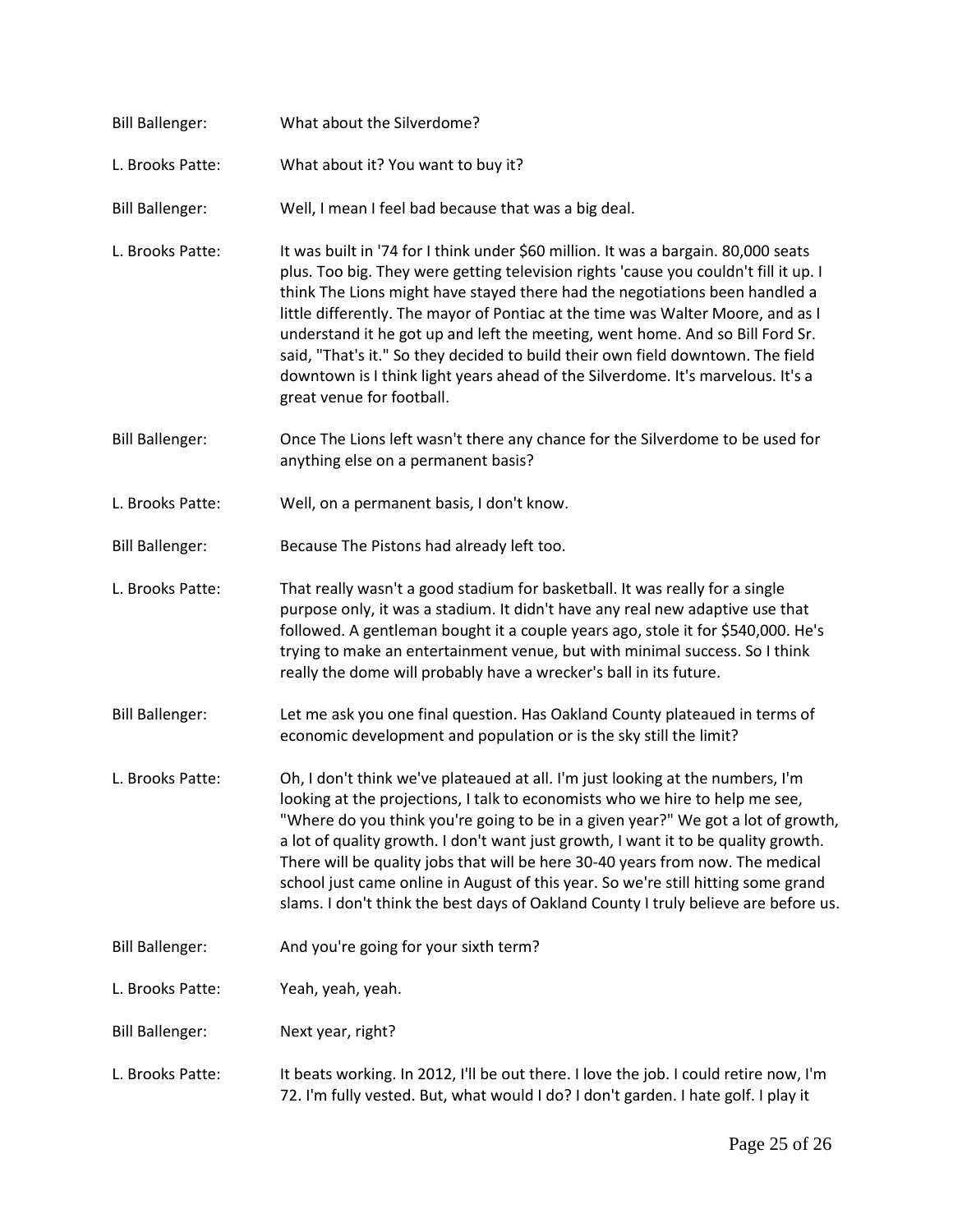| <b>Bill Ballenger:</b> | What about the Silverdome?                                                                                                                                                                                                                                                                                                                                                                                                                                                                                                                                                                                                       |
|------------------------|----------------------------------------------------------------------------------------------------------------------------------------------------------------------------------------------------------------------------------------------------------------------------------------------------------------------------------------------------------------------------------------------------------------------------------------------------------------------------------------------------------------------------------------------------------------------------------------------------------------------------------|
| L. Brooks Patte:       | What about it? You want to buy it?                                                                                                                                                                                                                                                                                                                                                                                                                                                                                                                                                                                               |
| <b>Bill Ballenger:</b> | Well, I mean I feel bad because that was a big deal.                                                                                                                                                                                                                                                                                                                                                                                                                                                                                                                                                                             |
| L. Brooks Patte:       | It was built in '74 for I think under \$60 million. It was a bargain. 80,000 seats<br>plus. Too big. They were getting television rights 'cause you couldn't fill it up. I<br>think The Lions might have stayed there had the negotiations been handled a<br>little differently. The mayor of Pontiac at the time was Walter Moore, and as I<br>understand it he got up and left the meeting, went home. And so Bill Ford Sr.<br>said, "That's it." So they decided to build their own field downtown. The field<br>downtown is I think light years ahead of the Silverdome. It's marvelous. It's a<br>great venue for football. |
| <b>Bill Ballenger:</b> | Once The Lions left wasn't there any chance for the Silverdome to be used for<br>anything else on a permanent basis?                                                                                                                                                                                                                                                                                                                                                                                                                                                                                                             |
| L. Brooks Patte:       | Well, on a permanent basis, I don't know.                                                                                                                                                                                                                                                                                                                                                                                                                                                                                                                                                                                        |
| <b>Bill Ballenger:</b> | Because The Pistons had already left too.                                                                                                                                                                                                                                                                                                                                                                                                                                                                                                                                                                                        |
| L. Brooks Patte:       | That really wasn't a good stadium for basketball. It was really for a single<br>purpose only, it was a stadium. It didn't have any real new adaptive use that<br>followed. A gentleman bought it a couple years ago, stole it for \$540,000. He's<br>trying to make an entertainment venue, but with minimal success. So I think<br>really the dome will probably have a wrecker's ball in its future.                                                                                                                                                                                                                           |
| <b>Bill Ballenger:</b> | Let me ask you one final question. Has Oakland County plateaued in terms of<br>economic development and population or is the sky still the limit?                                                                                                                                                                                                                                                                                                                                                                                                                                                                                |
| L. Brooks Patte:       | Oh, I don't think we've plateaued at all. I'm just looking at the numbers, I'm<br>looking at the projections, I talk to economists who we hire to help me see,<br>"Where do you think you're going to be in a given year?" We got a lot of growth,<br>a lot of quality growth. I don't want just growth, I want it to be quality growth.<br>There will be quality jobs that will be here 30-40 years from now. The medical<br>school just came online in August of this year. So we're still hitting some grand<br>slams. I don't think the best days of Oakland County I truly believe are before us.                           |
| <b>Bill Ballenger:</b> | And you're going for your sixth term?                                                                                                                                                                                                                                                                                                                                                                                                                                                                                                                                                                                            |
| L. Brooks Patte:       | Yeah, yeah, yeah.                                                                                                                                                                                                                                                                                                                                                                                                                                                                                                                                                                                                                |
| <b>Bill Ballenger:</b> | Next year, right?                                                                                                                                                                                                                                                                                                                                                                                                                                                                                                                                                                                                                |
| L. Brooks Patte:       | It beats working. In 2012, I'll be out there. I love the job. I could retire now, I'm<br>72. I'm fully vested. But, what would I do? I don't garden. I hate golf. I play it                                                                                                                                                                                                                                                                                                                                                                                                                                                      |